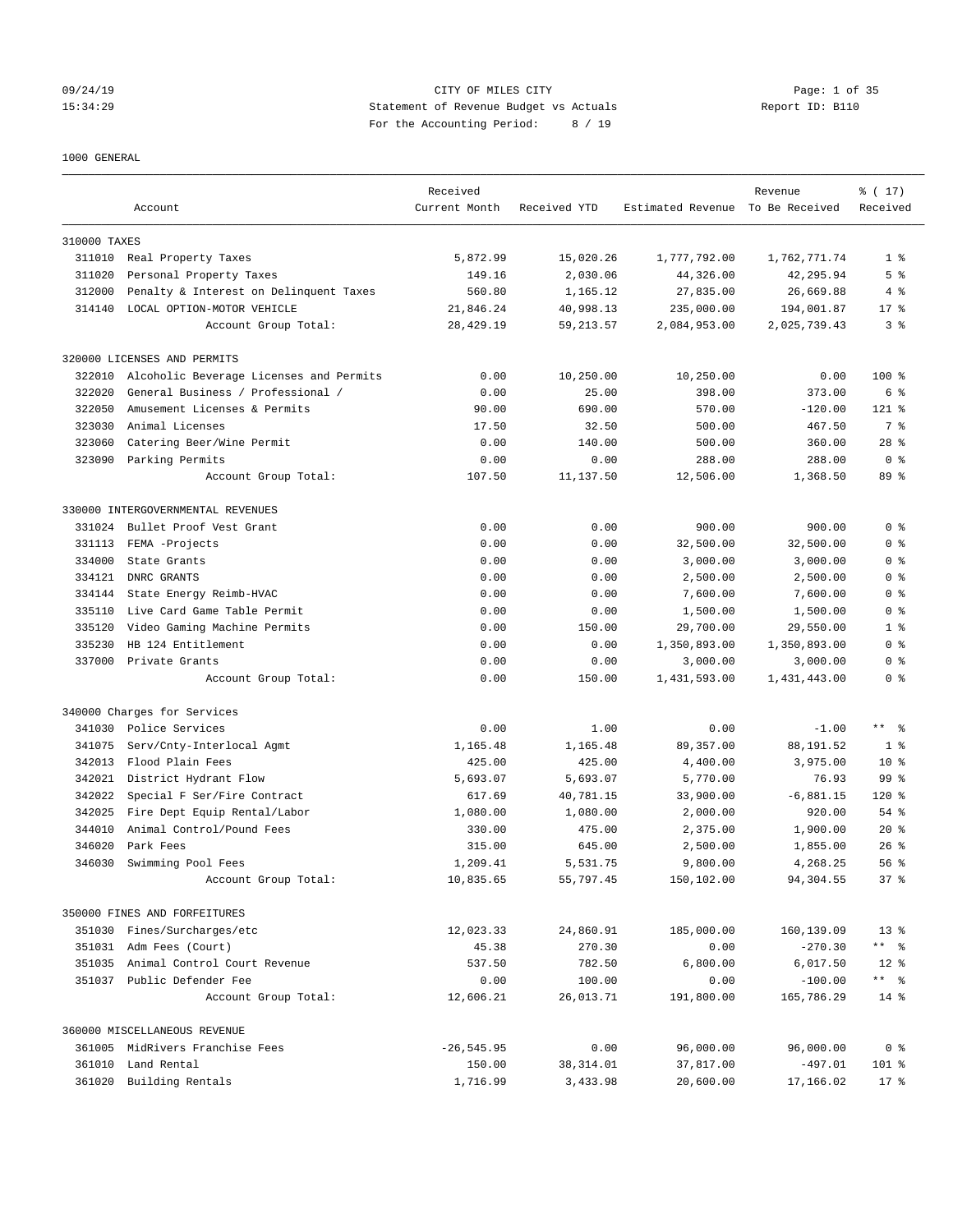# 09/24/19 CITY OF MILES CITY Page: 1 of 35 15:34:29 Statement of Revenue Budget vs Actuals Report ID: B110 For the Accounting Period: 8 / 19

### 1000 GENERAL

|              | Account                                 | Received<br>Current Month | Received YTD | Estimated Revenue To Be Received | Revenue      | % (17)<br>Received |
|--------------|-----------------------------------------|---------------------------|--------------|----------------------------------|--------------|--------------------|
| 310000 TAXES |                                         |                           |              |                                  |              |                    |
|              | 311010 Real Property Taxes              | 5,872.99                  | 15,020.26    | 1,777,792.00                     | 1,762,771.74 | 1 <sup>8</sup>     |
| 311020       | Personal Property Taxes                 | 149.16                    | 2,030.06     | 44,326.00                        | 42,295.94    | 5 <sup>°</sup>     |
| 312000       | Penalty & Interest on Delinquent Taxes  | 560.80                    | 1,165.12     | 27,835.00                        | 26,669.88    | 4%                 |
| 314140       | LOCAL OPTION-MOTOR VEHICLE              | 21,846.24                 | 40,998.13    | 235,000.00                       | 194,001.87   | $17*$              |
|              | Account Group Total:                    | 28, 429.19                | 59, 213.57   | 2,084,953.00                     | 2,025,739.43 | 3 <sup>8</sup>     |
|              | 320000 LICENSES AND PERMITS             |                           |              |                                  |              |                    |
| 322010       | Alcoholic Beverage Licenses and Permits | 0.00                      | 10,250.00    | 10,250.00                        | 0.00         | $100$ %            |
| 322020       | General Business / Professional /       | 0.00                      | 25.00        | 398.00                           | 373.00       | 6 %                |
| 322050       | Amusement Licenses & Permits            | 90.00                     | 690.00       | 570.00                           | $-120.00$    | $121$ %            |
| 323030       | Animal Licenses                         | 17.50                     | 32.50        | 500.00                           | 467.50       | 7 %                |
| 323060       | Catering Beer/Wine Permit               | 0.00                      | 140.00       | 500.00                           | 360.00       | $28$ %             |
| 323090       | Parking Permits                         | 0.00                      | 0.00         | 288.00                           | 288.00       | 0 <sup>8</sup>     |
|              | Account Group Total:                    | 107.50                    | 11,137.50    | 12,506.00                        | 1,368.50     | 89 %               |
|              | 330000 INTERGOVERNMENTAL REVENUES       |                           |              |                                  |              |                    |
| 331024       | Bullet Proof Vest Grant                 | 0.00                      | 0.00         | 900.00                           | 900.00       | 0 <sup>8</sup>     |
| 331113       | FEMA -Projects                          | 0.00                      | 0.00         | 32,500.00                        | 32,500.00    | 0 <sup>8</sup>     |
| 334000       | State Grants                            | 0.00                      | 0.00         | 3,000.00                         | 3,000.00     | 0 <sup>8</sup>     |
| 334121       | DNRC GRANTS                             | 0.00                      | 0.00         | 2,500.00                         | 2,500.00     | 0 <sup>8</sup>     |
| 334144       | State Energy Reimb-HVAC                 | 0.00                      | 0.00         | 7,600.00                         | 7,600.00     | 0 <sup>8</sup>     |
| 335110       | Live Card Game Table Permit             | 0.00                      | 0.00         | 1,500.00                         | 1,500.00     | 0 <sup>8</sup>     |
| 335120       | Video Gaming Machine Permits            | 0.00                      | 150.00       | 29,700.00                        | 29,550.00    | 1 <sup>8</sup>     |
| 335230       | HB 124 Entitlement                      | 0.00                      | 0.00         | 1,350,893.00                     | 1,350,893.00 | 0 <sup>8</sup>     |
| 337000       | Private Grants                          | 0.00                      | 0.00         | 3,000.00                         | 3,000.00     | 0 <sup>8</sup>     |
|              | Account Group Total:                    | 0.00                      | 150.00       | 1,431,593.00                     | 1,431,443.00 | 0 <sup>8</sup>     |
|              | 340000 Charges for Services             |                           |              |                                  |              |                    |
| 341030       | Police Services                         | 0.00                      | 1.00         | 0.00                             | $-1.00$      | $***$ $ -$         |
| 341075       | Serv/Cnty-Interlocal Agmt               | 1,165.48                  | 1,165.48     | 89, 357.00                       | 88,191.52    | 1 <sup>8</sup>     |
| 342013       | Flood Plain Fees                        | 425.00                    | 425.00       | 4,400.00                         | 3,975.00     | 10 <sub>8</sub>    |
| 342021       | District Hydrant Flow                   | 5,693.07                  | 5,693.07     | 5,770.00                         | 76.93        | 99 %               |
| 342022       | Special F Ser/Fire Contract             | 617.69                    | 40,781.15    | 33,900.00                        | $-6,881.15$  | $120$ %            |
| 342025       | Fire Dept Equip Rental/Labor            | 1,080.00                  | 1,080.00     | 2,000.00                         | 920.00       | 54 %               |
| 344010       | Animal Control/Pound Fees               | 330.00                    | 475.00       | 2,375.00                         | 1,900.00     | $20*$              |
| 346020       | Park Fees                               | 315.00                    | 645.00       | 2,500.00                         | 1,855.00     | $26$ %             |
| 346030       | Swimming Pool Fees                      | 1,209.41                  | 5,531.75     | 9,800.00                         | 4,268.25     | 56%                |
|              | Account Group Total:                    | 10,835.65                 | 55,797.45    | 150,102.00                       | 94,304.55    | 37%                |
|              | 350000 FINES AND FORFEITURES            |                           |              |                                  |              |                    |
|              | 351030 Fines/Surcharges/etc             | 12,023.33                 | 24,860.91    | 185,000.00                       | 160,139.09   | $13*$              |
|              | 351031 Adm Fees (Court)                 | 45.38                     | 270.30       | 0.00                             | $-270.30$    | ** %               |
|              | 351035 Animal Control Court Revenue     | 537.50                    | 782.50       | 6,800.00                         | 6,017.50     | $12*$              |
|              | 351037 Public Defender Fee              | 0.00                      | 100.00       | 0.00                             | $-100.00$    |                    |
|              | Account Group Total:                    | 12,606.21                 | 26,013.71    | 191,800.00                       | 165,786.29   | $14*$              |
|              | 360000 MISCELLANEOUS REVENUE            |                           |              |                                  |              |                    |
|              | 361005 MidRivers Franchise Fees         | $-26, 545.95$             | 0.00         | 96,000.00                        | 96,000.00    | 0 <sup>8</sup>     |
|              | 361010 Land Rental                      | 150.00                    | 38, 314.01   | 37,817.00                        | $-497.01$    | 101 %              |
|              | 361020 Building Rentals                 | 1,716.99                  | 3,433.98     | 20,600.00                        | 17,166.02    | $17*$              |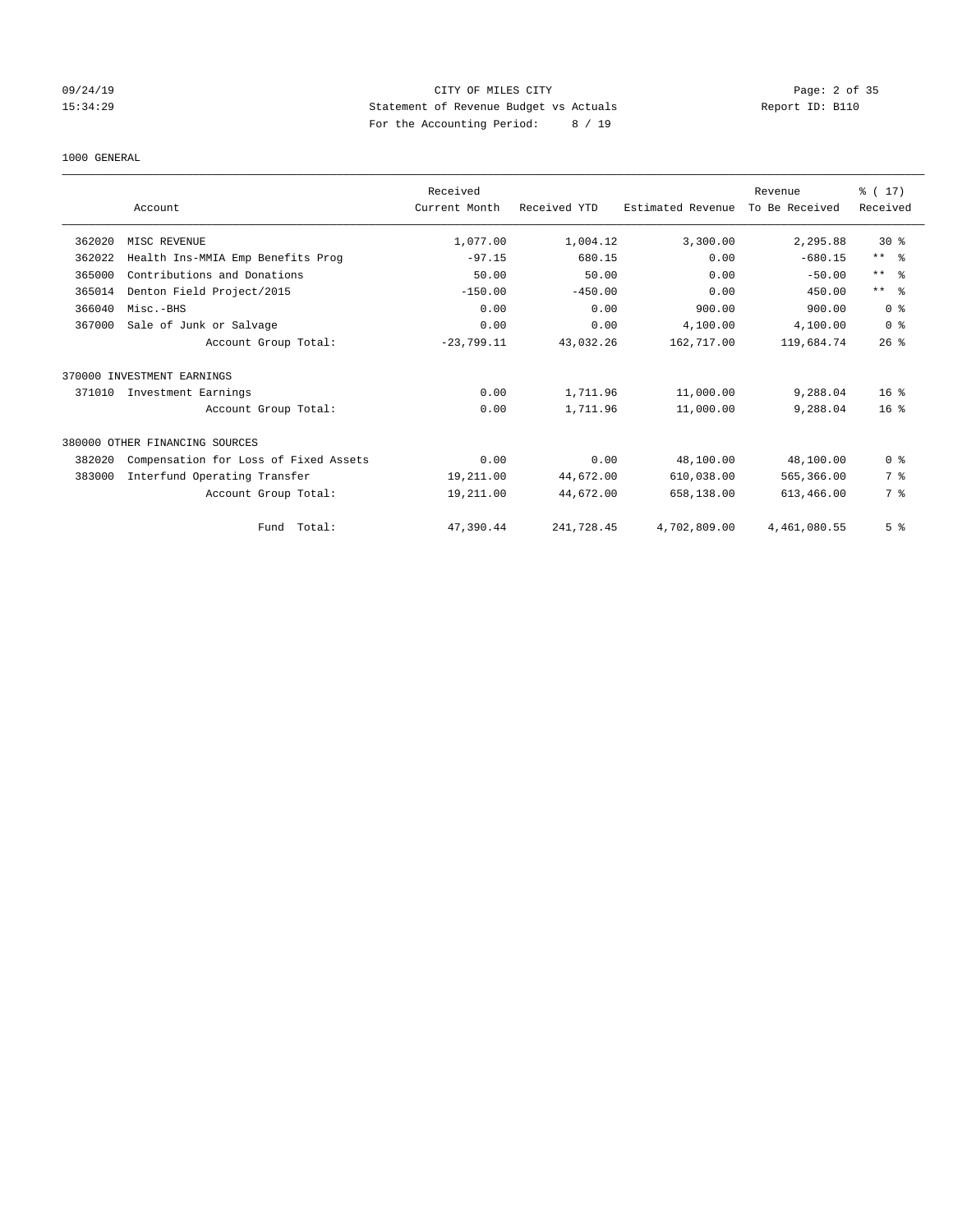# 09/24/19 CITY OF MILES CITY Page: 2 of 35 15:34:29 Statement of Revenue Budget vs Actuals Report ID: B110 For the Accounting Period: 8 / 19

### 1000 GENERAL

|        | Account                               | Received<br>Current Month | Received YTD | Estimated Revenue | Revenue<br>To Be Received | $\frac{1}{6}$ (17)<br>Received |
|--------|---------------------------------------|---------------------------|--------------|-------------------|---------------------------|--------------------------------|
|        |                                       |                           |              |                   |                           |                                |
| 362020 | MISC REVENUE                          | 1,077.00                  | 1,004.12     | 3,300.00          | 2,295.88                  | $30*$                          |
| 362022 | Health Ins-MMIA Emp Benefits Prog     | $-97.15$                  | 680.15       | 0.00              | $-680.15$                 | ** %                           |
| 365000 | Contributions and Donations           | 50.00                     | 50.00        | 0.00              | $-50.00$                  | $***$ $ -$                     |
| 365014 | Denton Field Project/2015             | $-150.00$                 | $-450.00$    | 0.00              | 450.00                    | $***$ $=$                      |
| 366040 | Misc.-BHS                             | 0.00                      | 0.00         | 900.00            | 900.00                    | 0 <sup>8</sup>                 |
| 367000 | Sale of Junk or Salvage               | 0.00                      | 0.00         | 4,100.00          | 4,100.00                  | 0 <sup>8</sup>                 |
|        | Account Group Total:                  | $-23,799.11$              | 43,032.26    | 162,717.00        | 119,684.74                | 26%                            |
|        | 370000 INVESTMENT EARNINGS            |                           |              |                   |                           |                                |
| 371010 | Investment Earnings                   | 0.00                      | 1,711.96     | 11,000.00         | 9,288.04                  | $16*$                          |
|        | Account Group Total:                  | 0.00                      | 1,711.96     | 11,000.00         | 9,288.04                  | 16 <sup>8</sup>                |
|        | 380000 OTHER FINANCING SOURCES        |                           |              |                   |                           |                                |
| 382020 | Compensation for Loss of Fixed Assets | 0.00                      | 0.00         | 48,100.00         | 48,100.00                 | 0 <sup>8</sup>                 |
| 383000 | Interfund Operating Transfer          | 19,211.00                 | 44,672.00    | 610,038.00        | 565,366.00                | 7 %                            |
|        | Account Group Total:                  | 19,211.00                 | 44,672.00    | 658,138.00        | 613,466.00                | 7 %                            |
|        | Total:<br>Fund                        | 47,390.44                 | 241,728.45   | 4,702,809.00      | 4,461,080.55              | 5 <sup>°</sup>                 |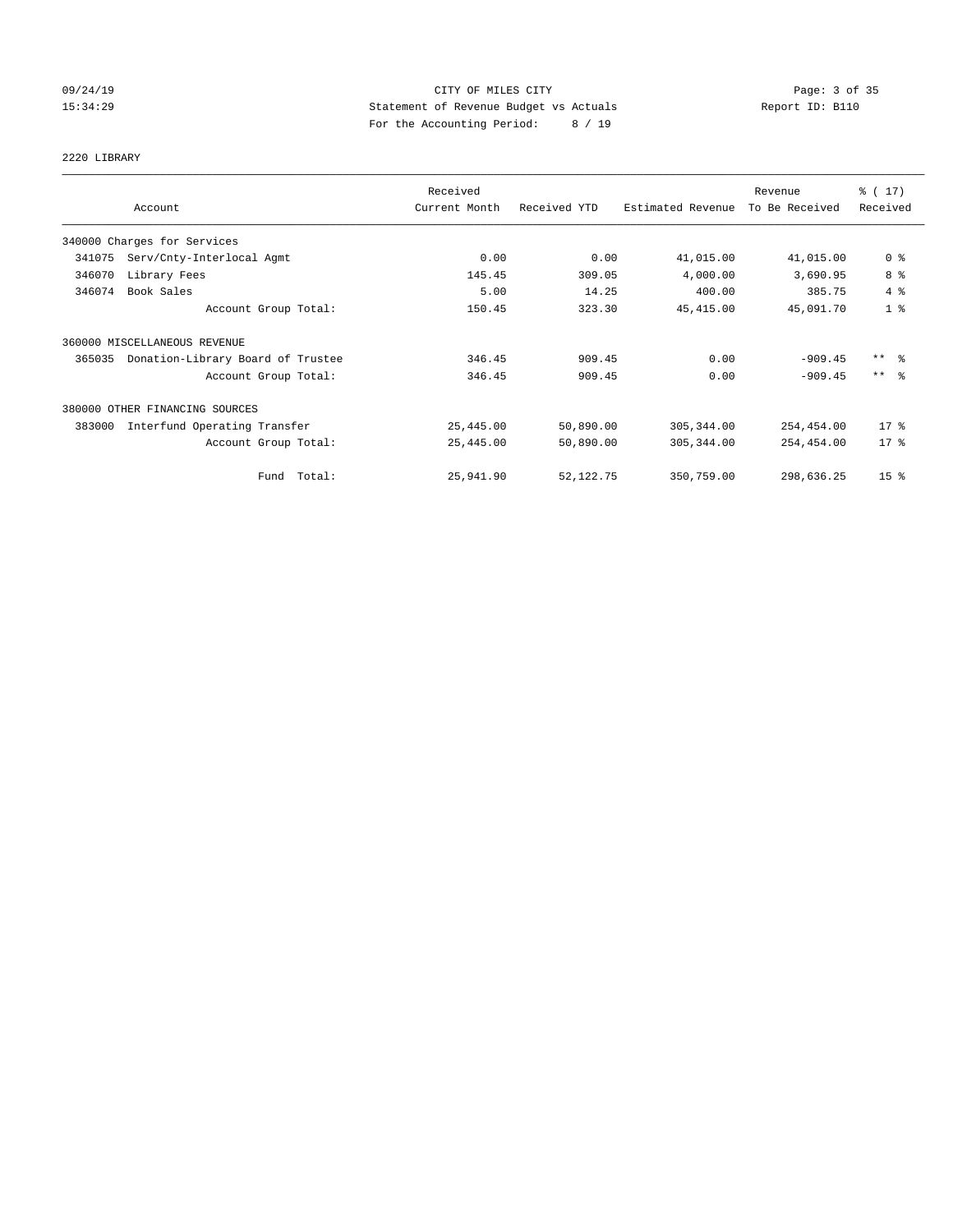# 09/24/19 Page: 3 of 35 15:34:29 Statement of Revenue Budget vs Actuals Report ID: B110 For the Accounting Period: 8 / 19

# 2220 LIBRARY

|        |                                   | Received      |              |                   | Revenue        | % (17)              |
|--------|-----------------------------------|---------------|--------------|-------------------|----------------|---------------------|
|        | Account                           | Current Month | Received YTD | Estimated Revenue | To Be Received | Received            |
|        | 340000 Charges for Services       |               |              |                   |                |                     |
| 341075 | Serv/Cnty-Interlocal Agmt         | 0.00          | 0.00         | 41,015.00         | 41,015.00      | 0 <sup>8</sup>      |
| 346070 | Library Fees                      | 145.45        | 309.05       | 4,000.00          | 3,690.95       | 8 %                 |
| 346074 | Book Sales                        | 5.00          | 14.25        | 400.00            | 385.75         | 4%                  |
|        | Account Group Total:              | 150.45        | 323.30       | 45, 415.00        | 45,091.70      | 1 <sup>8</sup>      |
|        | 360000 MISCELLANEOUS REVENUE      |               |              |                   |                |                     |
| 365035 | Donation-Library Board of Trustee | 346.45        | 909.45       | 0.00              | $-909.45$      | $***$ $\frac{6}{5}$ |
|        | Account Group Total:              | 346.45        | 909.45       | 0.00              | $-909.45$      | $***$ $\approx$     |
|        | 380000 OTHER FINANCING SOURCES    |               |              |                   |                |                     |
| 383000 | Interfund Operating Transfer      | 25,445.00     | 50,890.00    | 305, 344.00       | 254,454.00     | $17$ %              |
|        | Account Group Total:              | 25,445.00     | 50,890.00    | 305, 344.00       | 254,454.00     | $17*$               |
|        | Fund Total:                       | 25,941.90     | 52, 122. 75  | 350,759.00        | 298,636.25     | 15 <sup>8</sup>     |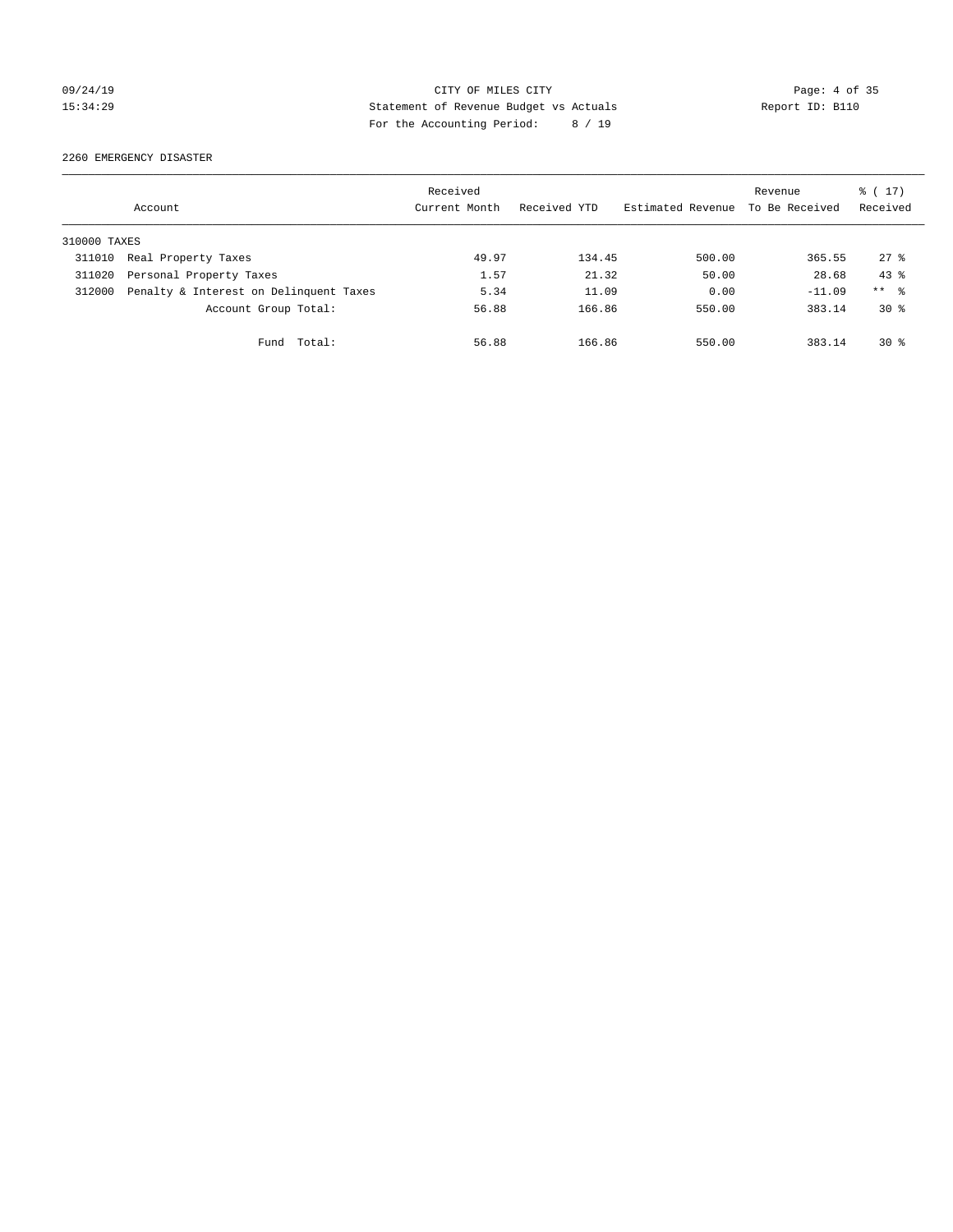# 09/24/19 CITY OF MILES CITY Page: 4 of 35 15:34:29 Statement of Revenue Budget vs Actuals Report ID: B110 For the Accounting Period: 8 / 19

2260 EMERGENCY DISASTER

|              | Account                                | Received<br>Current Month | Received YTD | Estimated Revenue | Revenue<br>To Be Received | $\frac{1}{6}$ (17)<br>Received |
|--------------|----------------------------------------|---------------------------|--------------|-------------------|---------------------------|--------------------------------|
| 310000 TAXES |                                        |                           |              |                   |                           |                                |
| 311010       | Real Property Taxes                    | 49.97                     | 134.45       | 500.00            | 365.55                    | $27$ $\frac{6}{5}$             |
| 311020       | Personal Property Taxes                | 1.57                      | 21.32        | 50.00             | 28.68                     | $43*$                          |
| 312000       | Penalty & Interest on Delinquent Taxes | 5.34                      | 11.09        | 0.00              | $-11.09$                  | $***$ $\approx$                |
|              | Account Group Total:                   | 56.88                     | 166.86       | 550.00            | 383.14                    | $30*$                          |
|              | Total:<br>Fund                         | 56.88                     | 166.86       | 550.00            | 383.14                    | $30*$                          |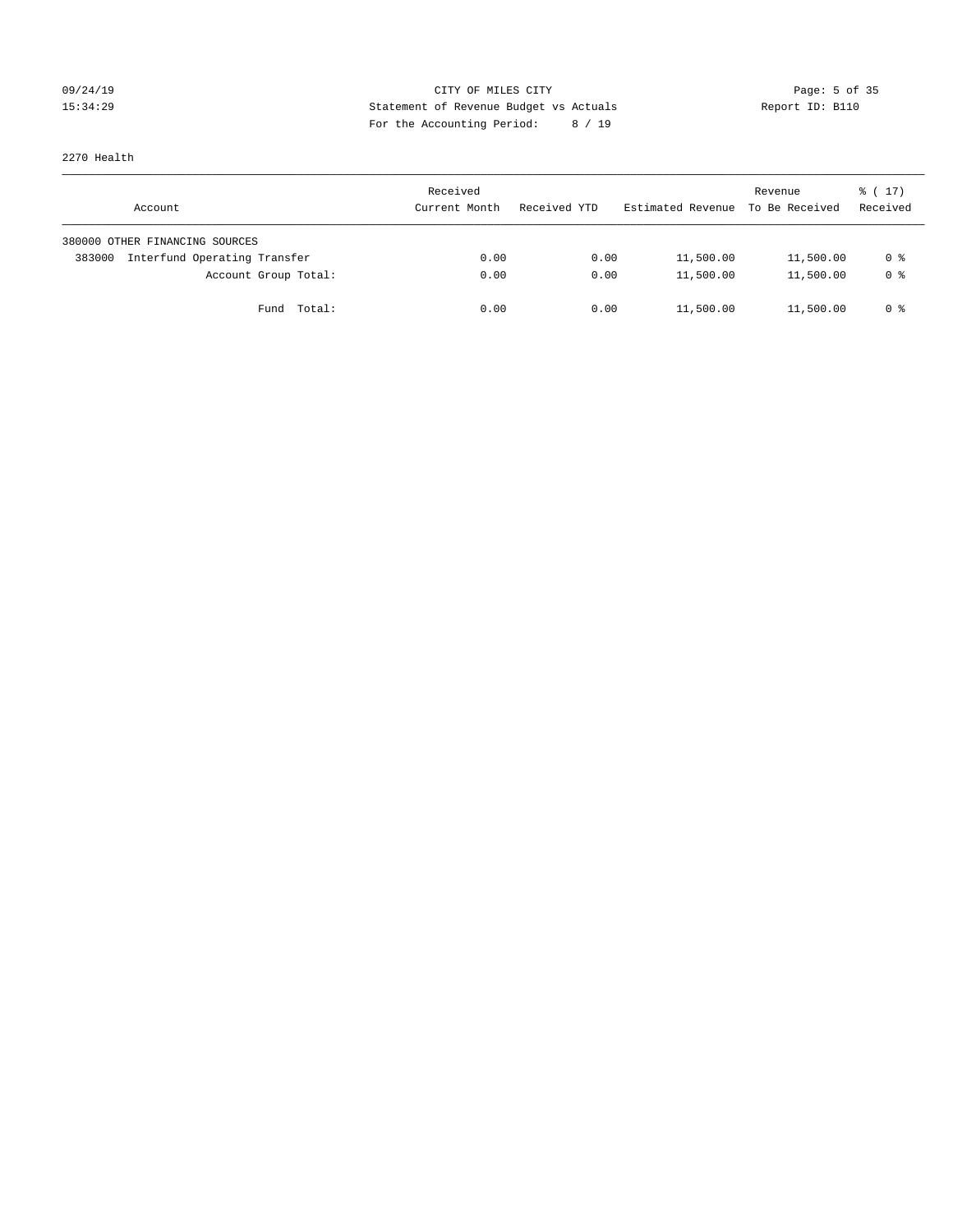# 09/24/19 Page: 5 of 35 15:34:29 Statement of Revenue Budget vs Actuals Report ID: B110 For the Accounting Period: 8 / 19

2270 Health

| Account                                | Received<br>Current Month | Received YTD | Estimated Revenue | Revenue<br>To Be Received | $\frac{1}{6}$ ( 17)<br>Received |
|----------------------------------------|---------------------------|--------------|-------------------|---------------------------|---------------------------------|
| 380000 OTHER FINANCING SOURCES         |                           |              |                   |                           |                                 |
| Interfund Operating Transfer<br>383000 | 0.00                      | 0.00         | 11,500.00         | 11,500.00                 | 0 %                             |
| Account Group Total:                   | 0.00                      | 0.00         | 11,500.00         | 11,500.00                 | 0 %                             |
| Total:<br>Fund                         | 0.00                      | 0.00         | 11,500.00         | 11,500.00                 | 0 %                             |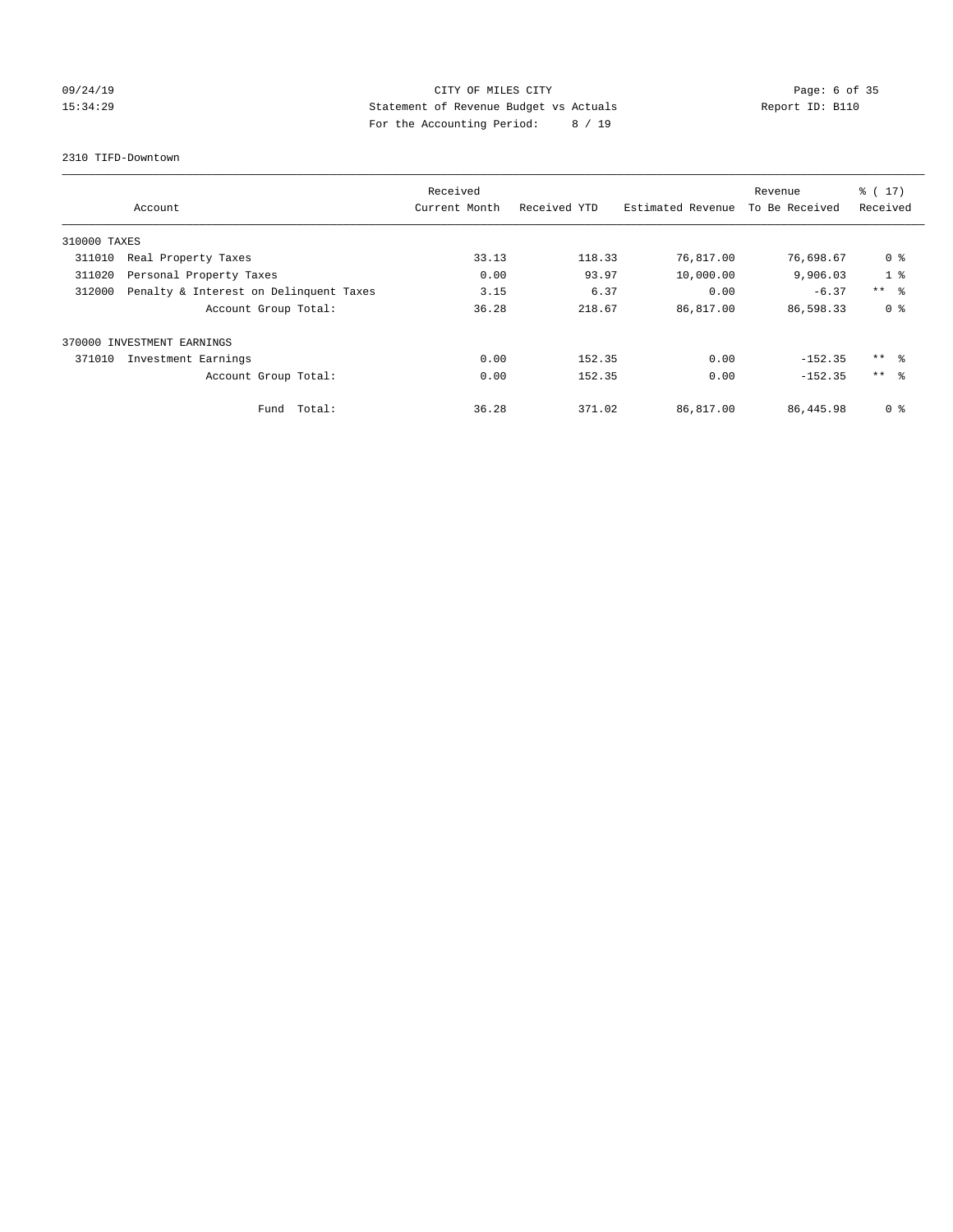# 09/24/19 CITY OF MILES CITY Page: 6 of 35 15:34:29 Statement of Revenue Budget vs Actuals Report ID: B110 For the Accounting Period: 8 / 19

2310 TIFD-Downtown

|              | Received                               |               |              |                   | Revenue        | $\frac{1}{6}$ (17) |
|--------------|----------------------------------------|---------------|--------------|-------------------|----------------|--------------------|
|              | Account                                | Current Month | Received YTD | Estimated Revenue | To Be Received | Received           |
| 310000 TAXES |                                        |               |              |                   |                |                    |
| 311010       | Real Property Taxes                    | 33.13         | 118.33       | 76,817.00         | 76,698.67      | 0 <sup>8</sup>     |
| 311020       | Personal Property Taxes                | 0.00          | 93.97        | 10,000.00         | 9,906.03       | 1 <sup>°</sup>     |
| 312000       | Penalty & Interest on Delinquent Taxes | 3.15          | 6.37         | 0.00              | $-6.37$        | $***$ $\approx$    |
|              | Account Group Total:                   | 36.28         | 218.67       | 86,817.00         | 86,598.33      | 0 <sup>8</sup>     |
|              | 370000 INVESTMENT EARNINGS             |               |              |                   |                |                    |
| 371010       | Investment Earnings                    | 0.00          | 152.35       | 0.00              | $-152.35$      | $***$ $\approx$    |
|              | Account Group Total:                   | 0.00          | 152.35       | 0.00              | $-152.35$      | $***$ $\approx$    |
|              | Fund Total:                            | 36.28         | 371.02       | 86,817.00         | 86,445.98      | 0 %                |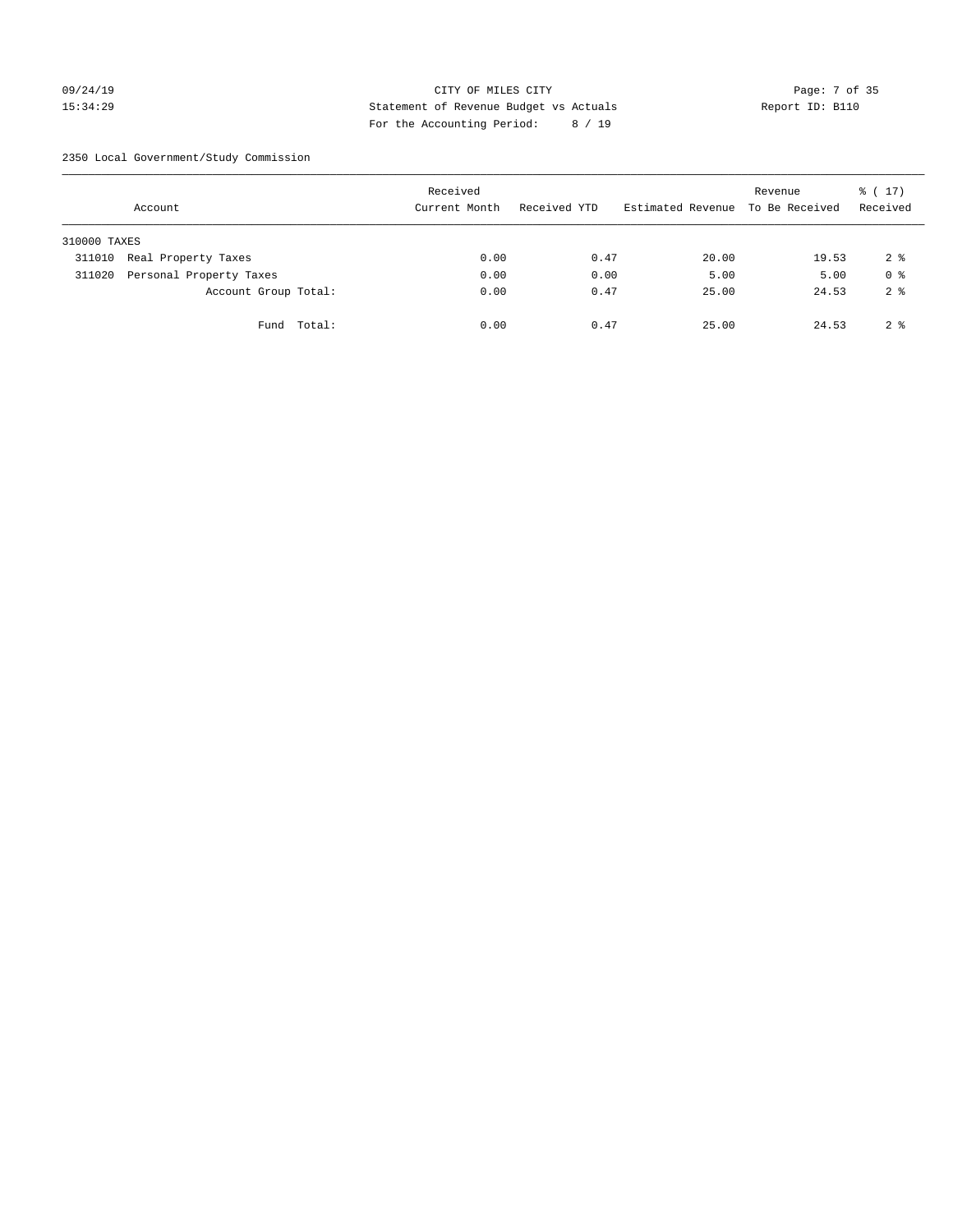# 09/24/19 Page: 7 of 35 15:34:29 Statement of Revenue Budget vs Actuals Report ID: B110 For the Accounting Period: 8 / 19

2350 Local Government/Study Commission

|              | Account                 |             | Received<br>Current Month |      | Received YTD |      | Estimated Revenue To Be Received | Revenue | $\frac{1}{6}$ ( 17)<br>Received |
|--------------|-------------------------|-------------|---------------------------|------|--------------|------|----------------------------------|---------|---------------------------------|
| 310000 TAXES |                         |             |                           |      |              |      |                                  |         |                                 |
| 311010       | Real Property Taxes     |             |                           | 0.00 |              | 0.47 | 20.00                            | 19.53   | 2 <sup>8</sup>                  |
| 311020       | Personal Property Taxes |             |                           | 0.00 |              | 0.00 | 5.00                             | 5.00    | 0 <sup>8</sup>                  |
|              | Account Group Total:    |             |                           | 0.00 |              | 0.47 | 25.00                            | 24.53   | 2 <sup>8</sup>                  |
|              |                         | Fund Total: |                           | 0.00 |              | 0.47 | 25.00                            | 24.53   | 2 <sup>8</sup>                  |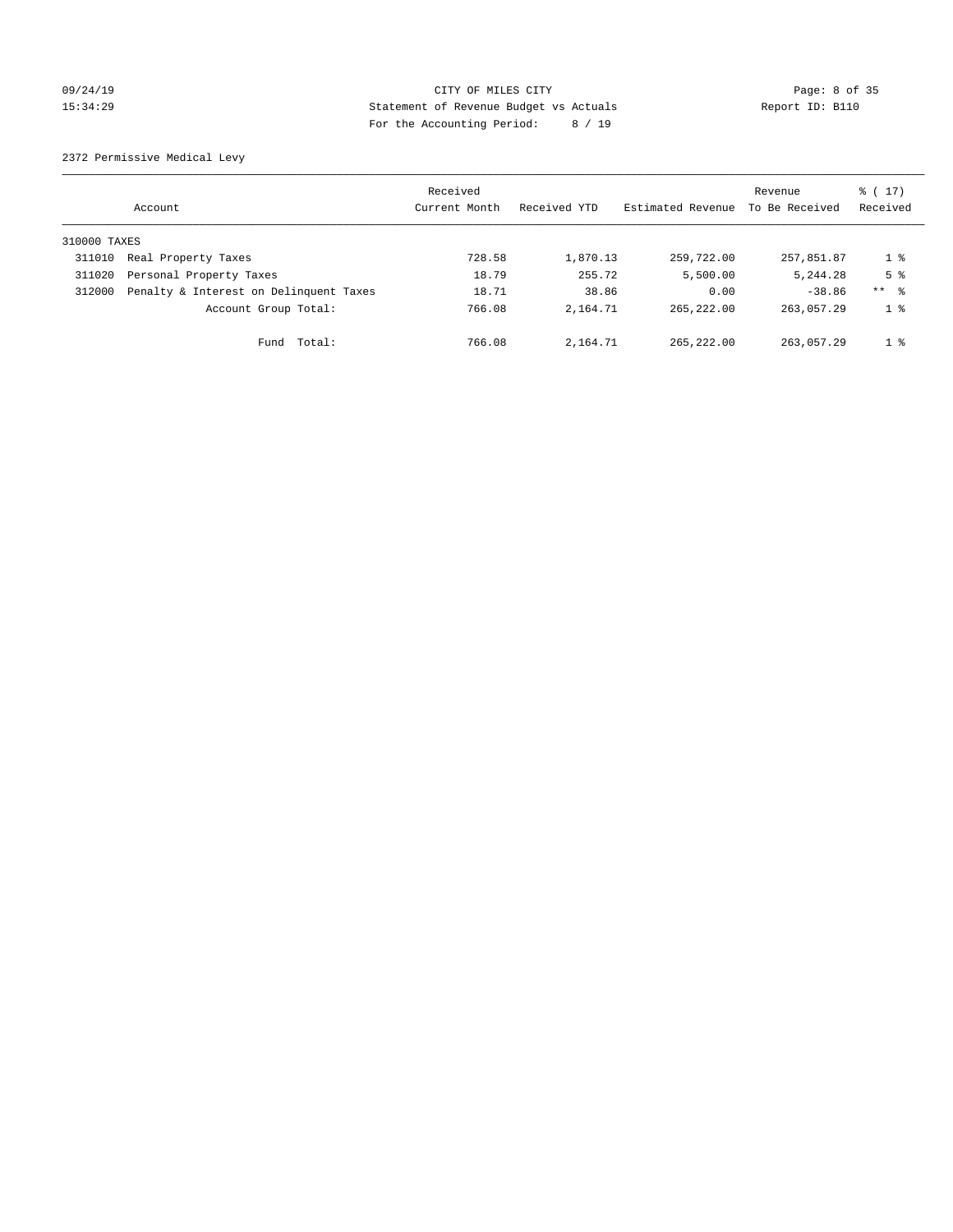# 09/24/19 CITY OF MILES CITY Page: 8 of 35 15:34:29 Statement of Revenue Budget vs Actuals Report ID: B110 For the Accounting Period: 8 / 19

2372 Permissive Medical Levy

|              | Account                                | Received<br>Current Month | Received YTD | Estimated Revenue | Revenue<br>To Be Received | $\frac{1}{6}$ (17)<br>Received |
|--------------|----------------------------------------|---------------------------|--------------|-------------------|---------------------------|--------------------------------|
| 310000 TAXES |                                        |                           |              |                   |                           |                                |
| 311010       | Real Property Taxes                    | 728.58                    | 1,870.13     | 259,722.00        | 257,851.87                | 1 <sup>8</sup>                 |
| 311020       | Personal Property Taxes                | 18.79                     | 255.72       | 5,500.00          | 5,244.28                  | 5 <sup>8</sup>                 |
| 312000       | Penalty & Interest on Delinquent Taxes | 18.71                     | 38.86        | 0.00              | $-38.86$                  | $***$ $\frac{6}{5}$            |
|              | Account Group Total:                   | 766.08                    | 2,164.71     | 265, 222, 00      | 263,057.29                | 1 %                            |
|              | Total:<br>Fund                         | 766.08                    | 2,164.71     | 265, 222, 00      | 263,057.29                | 1 <sup>8</sup>                 |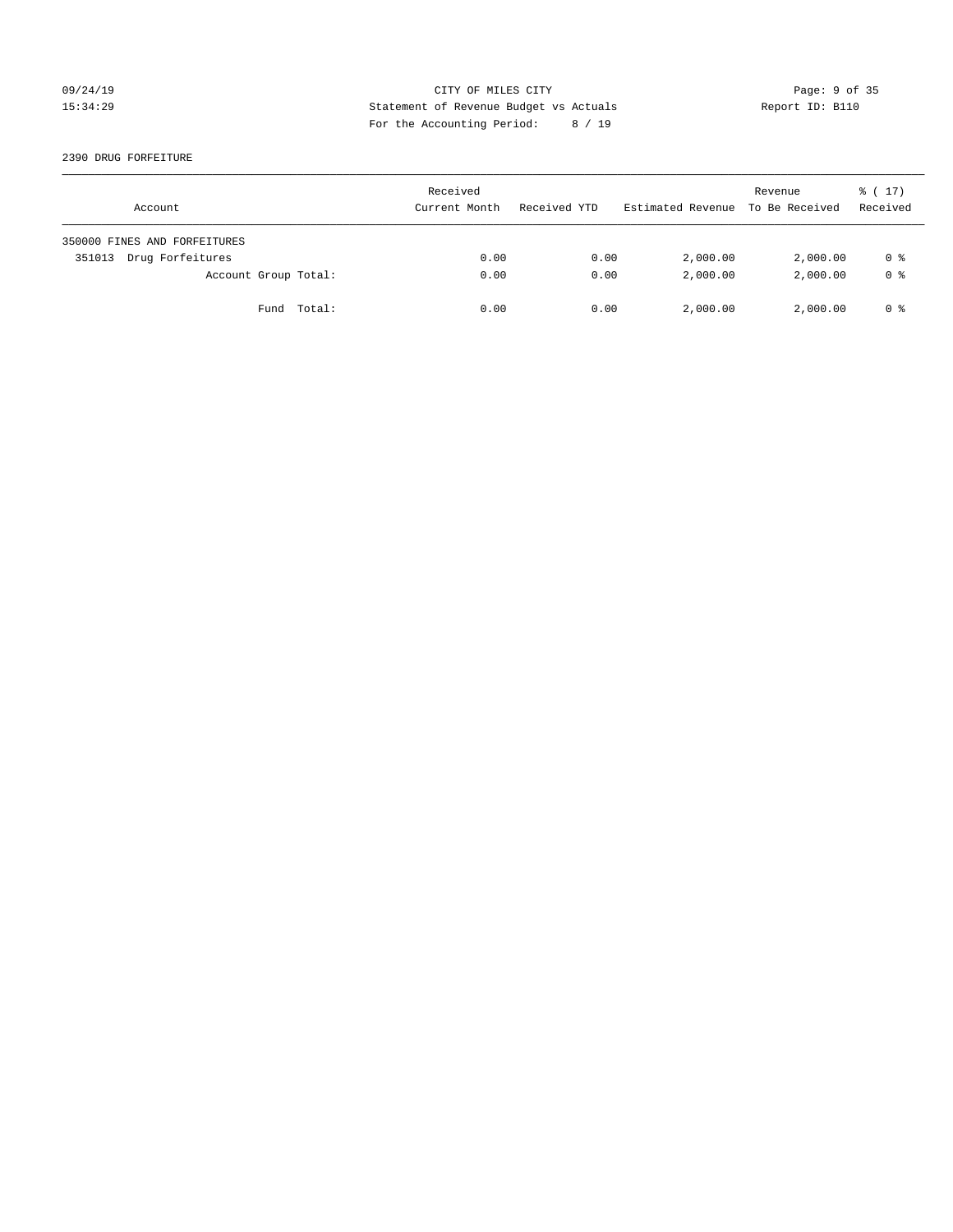# 09/24/19 CITY OF MILES CITY Page: 9 of 35 15:34:29 Statement of Revenue Budget vs Actuals Report ID: B110 For the Accounting Period: 8 / 19

2390 DRUG FORFEITURE

| Account                      | Received<br>Current Month | Received YTD | Estimated Revenue | Revenue<br>To Be Received | $\frac{1}{6}$ ( 17)<br>Received |
|------------------------------|---------------------------|--------------|-------------------|---------------------------|---------------------------------|
| 350000 FINES AND FORFEITURES |                           |              |                   |                           |                                 |
| Drug Forfeitures<br>351013   | 0.00                      | 0.00         | 2,000.00          | 2,000.00                  | 0 %                             |
| Account Group Total:         | 0.00                      | 0.00         | 2,000.00          | 2,000.00                  | 0 <sup>8</sup>                  |
| Fund Total:                  | 0.00                      | 0.00         | 2,000.00          | 2,000.00                  | 0 %                             |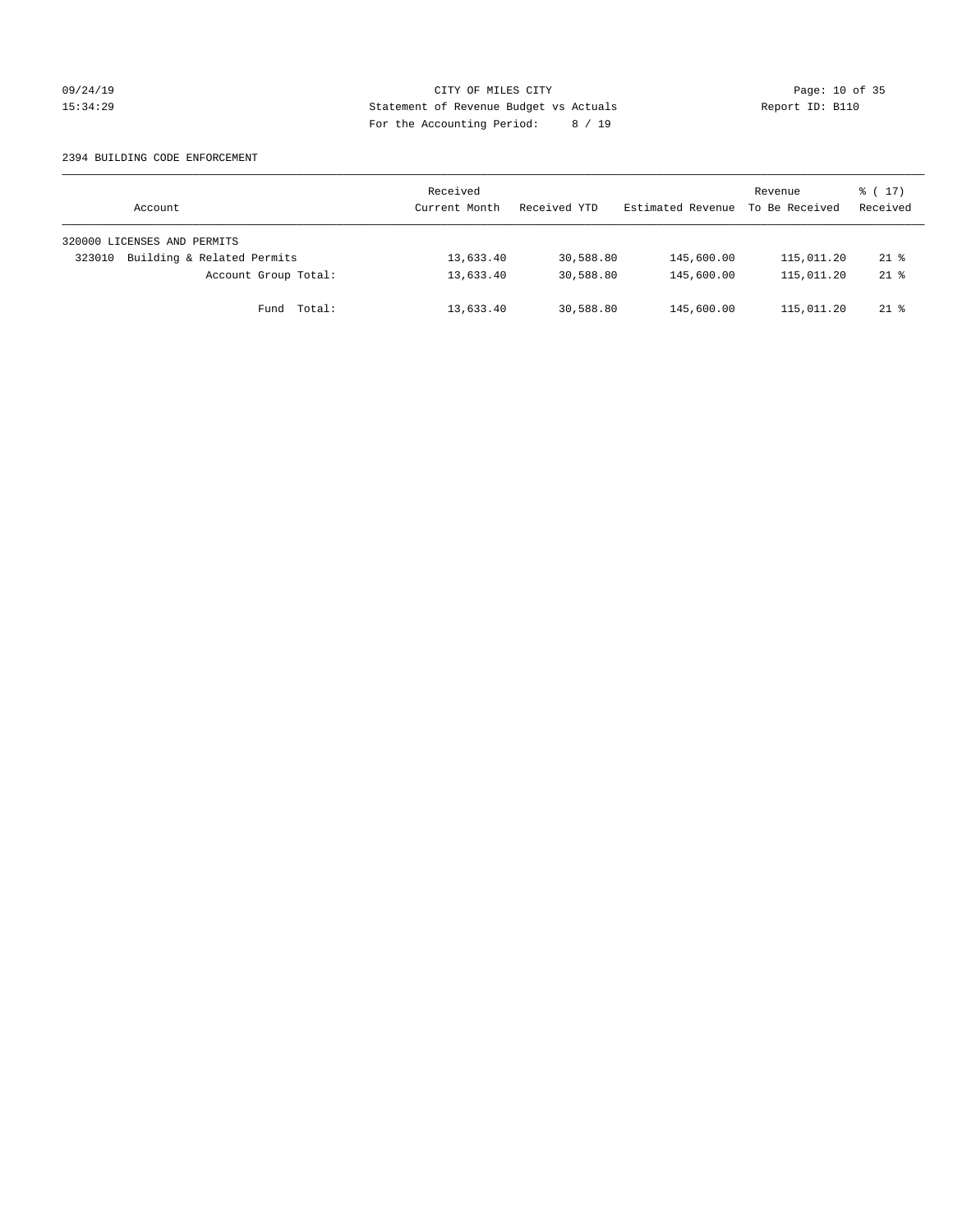# 09/24/19 Page: 10 of 35 15:34:29 Statement of Revenue Budget vs Actuals Report ID: B110 For the Accounting Period: 8 / 19

### 2394 BUILDING CODE ENFORCEMENT

| Account                              | Received<br>Current Month | Received YTD | Estimated Revenue | Revenue<br>To Be Received | $\frac{1}{6}$ ( 17)<br>Received |
|--------------------------------------|---------------------------|--------------|-------------------|---------------------------|---------------------------------|
| 320000 LICENSES AND PERMITS          |                           |              |                   |                           |                                 |
| Building & Related Permits<br>323010 | 13,633.40                 | 30,588.80    | 145,600.00        | 115,011.20                | $21*$                           |
| Account Group Total:                 | 13,633.40                 | 30,588.80    | 145,600.00        | 115,011.20                | $21*$                           |
| Fund Total:                          | 13,633.40                 | 30,588.80    | 145,600.00        | 115,011.20                | $21*$                           |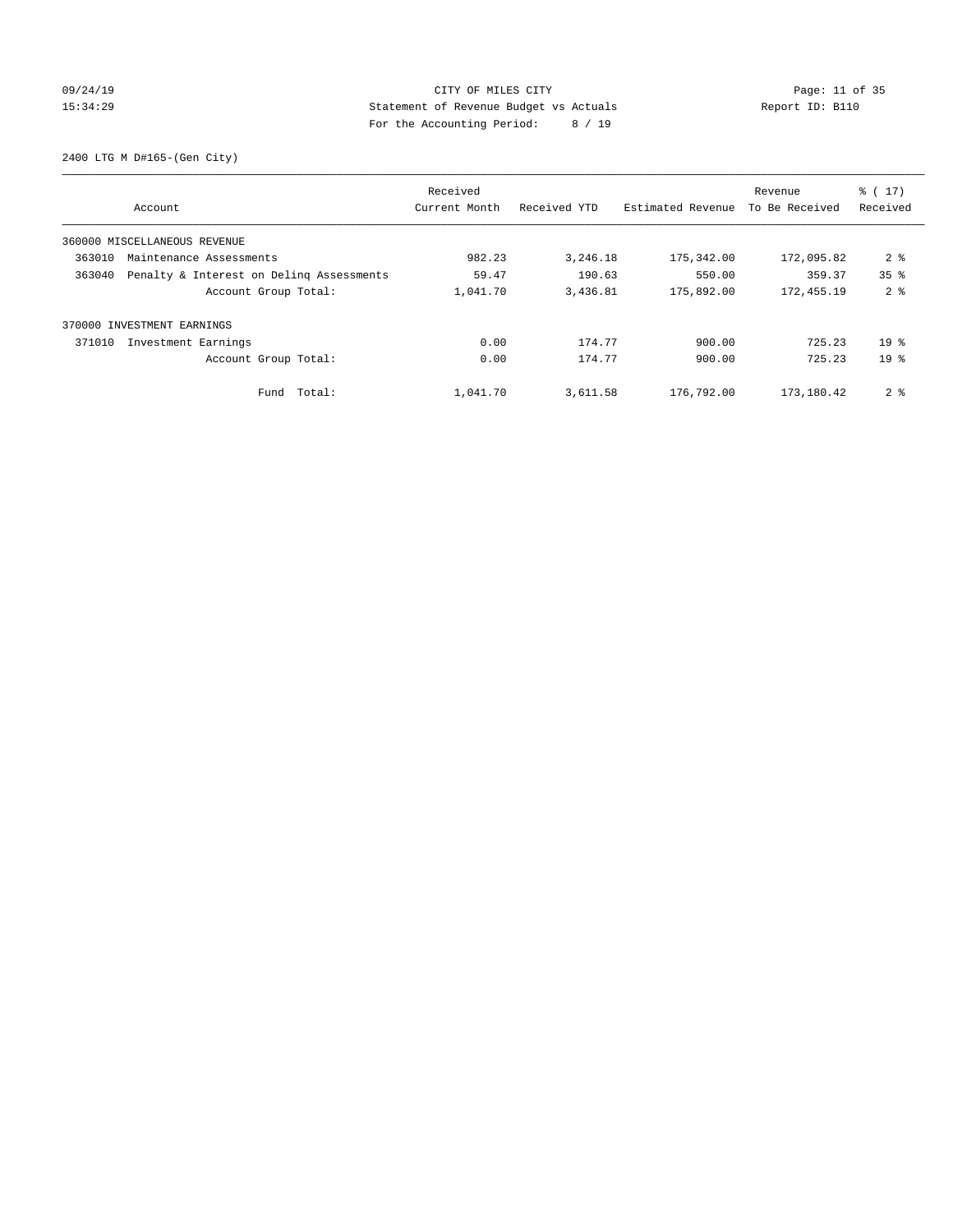# 09/24/19 Page: 11 of 35 15:34:29 Statement of Revenue Budget vs Actuals Report ID: B110 For the Accounting Period: 8 / 19

2400 LTG M D#165-(Gen City)

| Account                                            |             | Received<br>Current Month | Received YTD | Estimated Revenue | Revenue<br>To Be Received | $\frac{1}{6}$ (17)<br>Received |
|----------------------------------------------------|-------------|---------------------------|--------------|-------------------|---------------------------|--------------------------------|
| 360000 MISCELLANEOUS REVENUE                       |             |                           |              |                   |                           |                                |
| 363010<br>Maintenance Assessments                  |             | 982.23                    | 3,246.18     | 175,342.00        | 172,095.82                | 2 <sup>8</sup>                 |
| Penalty & Interest on Deling Assessments<br>363040 |             | 59.47                     | 190.63       | 550.00            | 359.37                    | 35 <sup>8</sup>                |
| Account Group Total:                               |             | 1,041.70                  | 3,436.81     | 175,892.00        | 172,455.19                | 2 <sub>8</sub>                 |
| INVESTMENT EARNINGS<br>370000                      |             |                           |              |                   |                           |                                |
| 371010<br>Investment Earnings                      |             | 0.00                      | 174.77       | 900.00            | 725.23                    | 19 <sup>8</sup>                |
| Account Group Total:                               |             | 0.00                      | 174.77       | 900.00            | 725.23                    | 19 <sup>8</sup>                |
|                                                    | Fund Total: | 1,041.70                  | 3,611.58     | 176,792.00        | 173,180.42                | 2 <sub>8</sub>                 |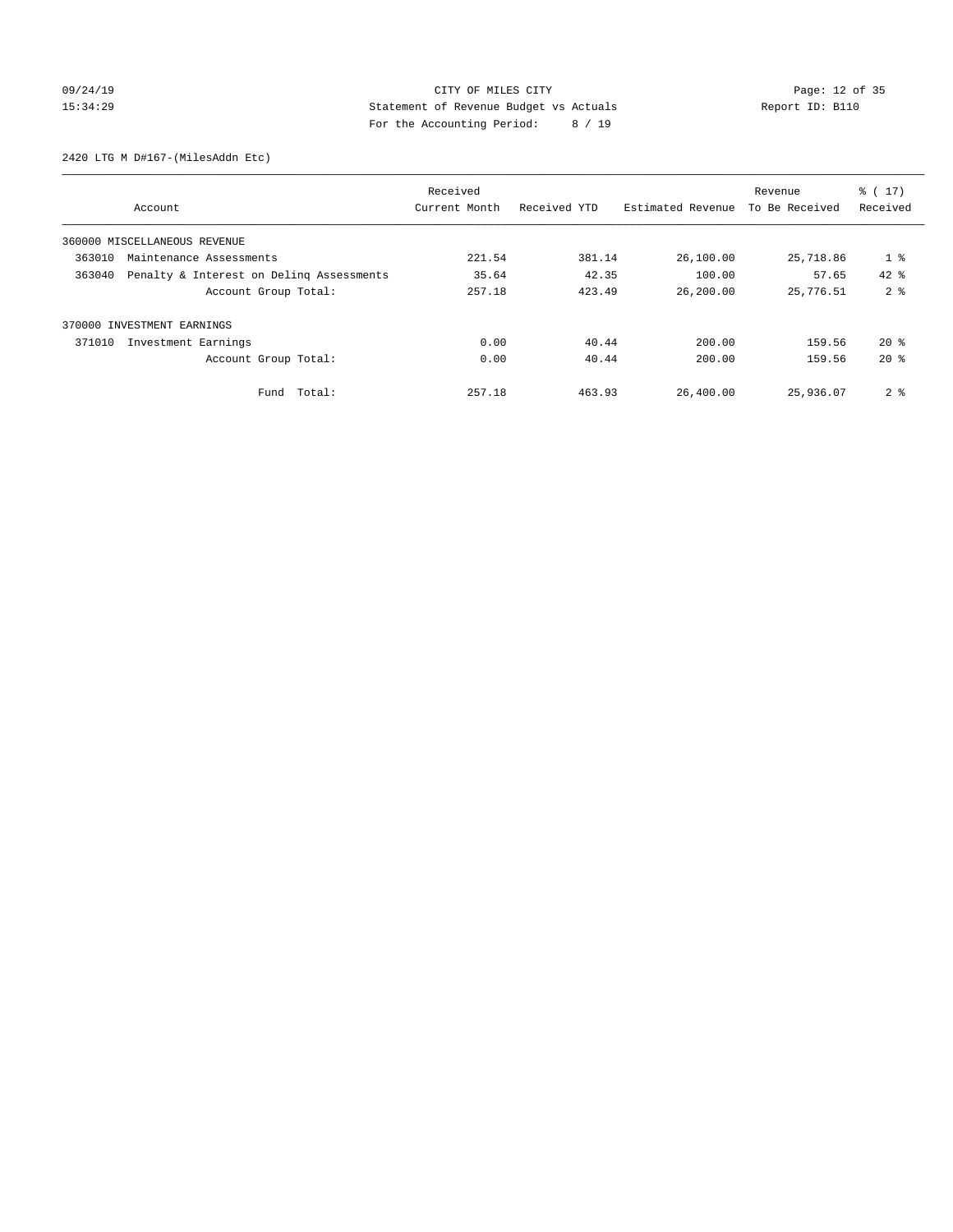# 09/24/19 Page: 12 of 35 15:34:29 Statement of Revenue Budget vs Actuals Report ID: B110 For the Accounting Period: 8 / 19

2420 LTG M D#167-(MilesAddn Etc)

|                            |                                          | Received      |              |                   | Revenue        | $\frac{2}{3}$ ( 17) |
|----------------------------|------------------------------------------|---------------|--------------|-------------------|----------------|---------------------|
|                            | Account                                  | Current Month | Received YTD | Estimated Revenue | To Be Received | Received            |
|                            | 360000 MISCELLANEOUS REVENUE             |               |              |                   |                |                     |
| 363010                     | Maintenance Assessments                  | 221.54        | 381.14       | 26,100.00         | 25,718.86      | $1$ %               |
| 363040                     | Penalty & Interest on Deling Assessments | 35.64         | 42.35        | 100.00            | 57.65          | $42*$               |
|                            | Account Group Total:                     | 257.18        | 423.49       | 26,200.00         | 25,776.51      | 2 <sup>8</sup>      |
| 370000 INVESTMENT EARNINGS |                                          |               |              |                   |                |                     |
| 371010                     | Investment Earnings                      | 0.00          | 40.44        | 200.00            | 159.56         | $20*$               |
|                            | Account Group Total:                     | 0.00          | 40.44        | 200.00            | 159.56         | $20*$               |
|                            | Total:<br>Fund                           | 257.18        | 463.93       | 26,400.00         | 25,936.07      | 2 <sub>8</sub>      |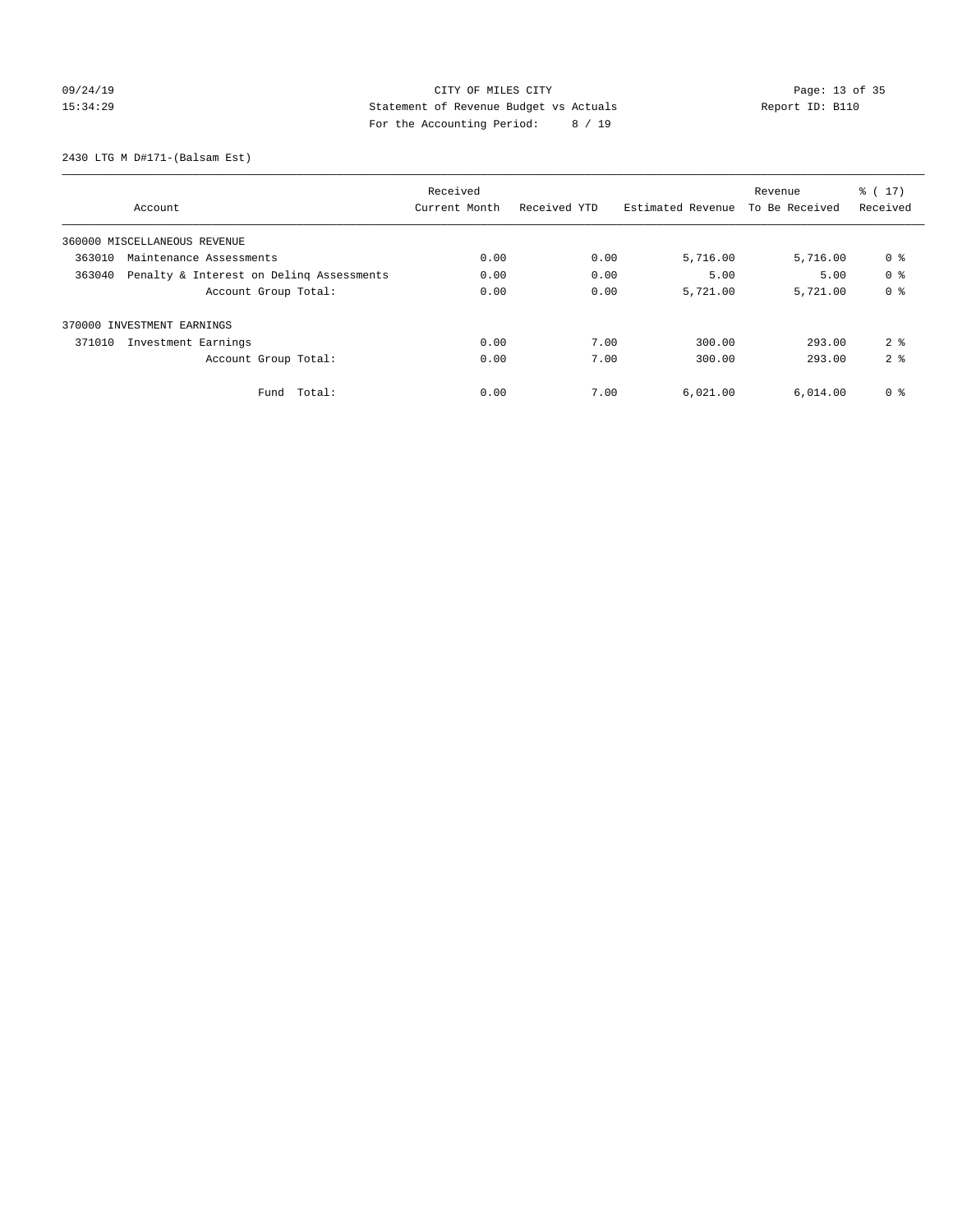# 09/24/19 Page: 13 of 35 15:34:29 Statement of Revenue Budget vs Actuals Report ID: B110 For the Accounting Period: 8 / 19

2430 LTG M D#171-(Balsam Est)

|                                                    |               | Revenue      | $\frac{2}{3}$ ( 17) |                |                |
|----------------------------------------------------|---------------|--------------|---------------------|----------------|----------------|
| Account                                            | Current Month | Received YTD | Estimated Revenue   | To Be Received | Received       |
| 360000 MISCELLANEOUS REVENUE                       |               |              |                     |                |                |
| 363010<br>Maintenance Assessments                  | 0.00          | 0.00         | 5,716.00            | 5,716.00       | 0 %            |
| 363040<br>Penalty & Interest on Deling Assessments | 0.00          | 0.00         | 5.00                | 5.00           | 0 <sup>8</sup> |
| Account Group Total:                               | 0.00          | 0.00         | 5,721.00            | 5,721.00       | 0 <sup>8</sup> |
| 370000 INVESTMENT EARNINGS                         |               |              |                     |                |                |
| Investment Earnings<br>371010                      | 0.00          | 7.00         | 300.00              | 293.00         | 2 <sup>8</sup> |
| Account Group Total:                               | 0.00          | 7.00         | 300.00              | 293.00         | 2 <sup>8</sup> |
| Total:<br>Fund                                     | 0.00          | 7.00         | 6,021.00            | 6,014.00       | 0 <sup>8</sup> |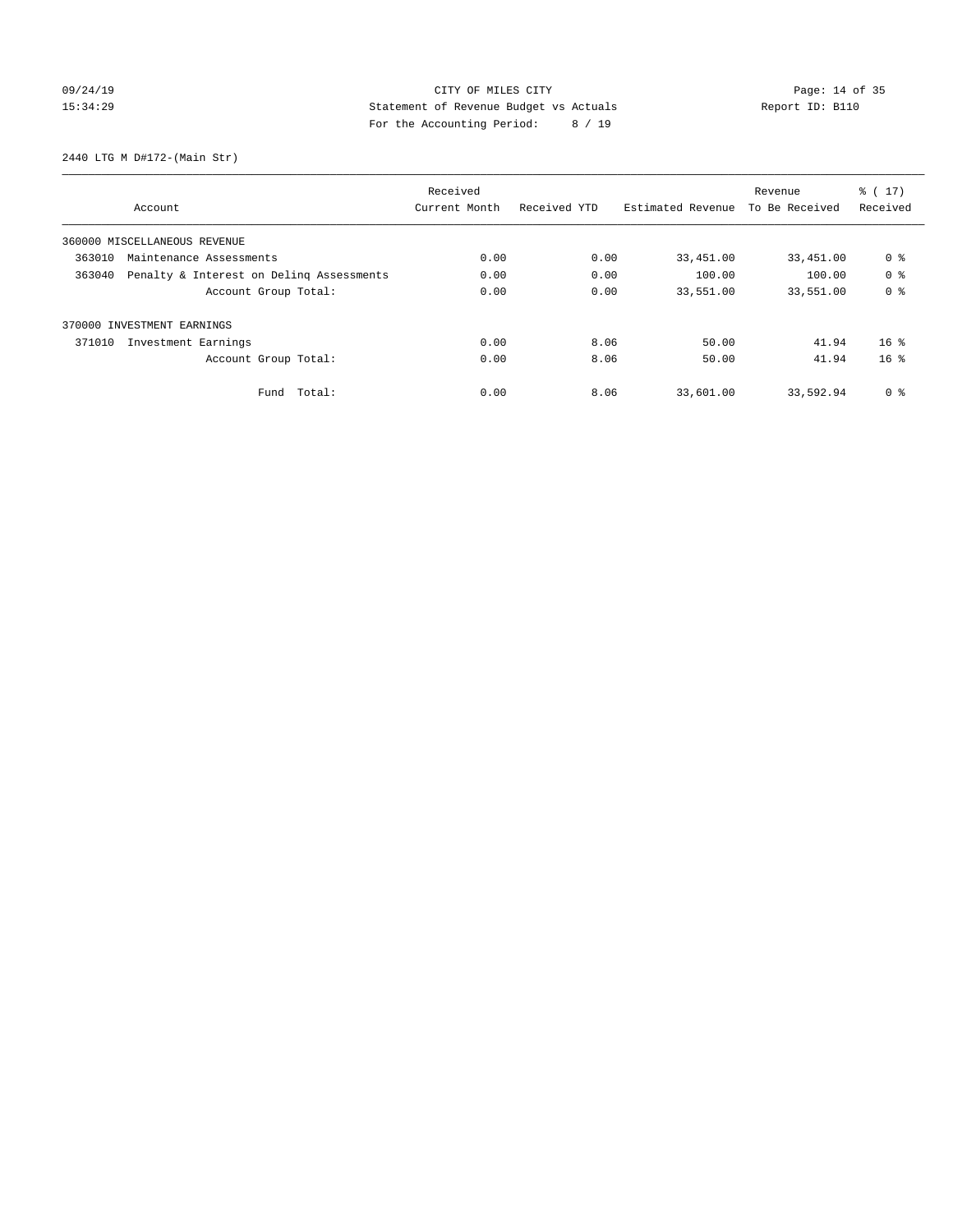# 09/24/19 Page: 14 of 35 15:34:29 Statement of Revenue Budget vs Actuals Report ID: B110 For the Accounting Period: 8 / 19

2440 LTG M D#172-(Main Str)

|                                                    |               |              | Revenue           | $\frac{1}{6}$ (17) |                 |
|----------------------------------------------------|---------------|--------------|-------------------|--------------------|-----------------|
| Account                                            | Current Month | Received YTD | Estimated Revenue | To Be Received     | Received        |
| 360000 MISCELLANEOUS REVENUE                       |               |              |                   |                    |                 |
| 363010<br>Maintenance Assessments                  | 0.00          | 0.00         | 33,451.00         | 33,451.00          | 0 <sup>8</sup>  |
| Penalty & Interest on Deling Assessments<br>363040 | 0.00          | 0.00         | 100.00            | 100.00             | 0 <sup>8</sup>  |
| Account Group Total:                               | 0.00          | 0.00         | 33,551.00         | 33,551.00          | 0 <sup>8</sup>  |
| INVESTMENT EARNINGS<br>370000                      |               |              |                   |                    |                 |
| 371010<br>Investment Earnings                      | 0.00          | 8.06         | 50.00             | 41.94              | 16 <sup>8</sup> |
| Account Group Total:                               | 0.00          | 8.06         | 50.00             | 41.94              | 16 <sup>8</sup> |
| Fund Total:                                        | 0.00          | 8.06         | 33,601.00         | 33,592.94          | 0 %             |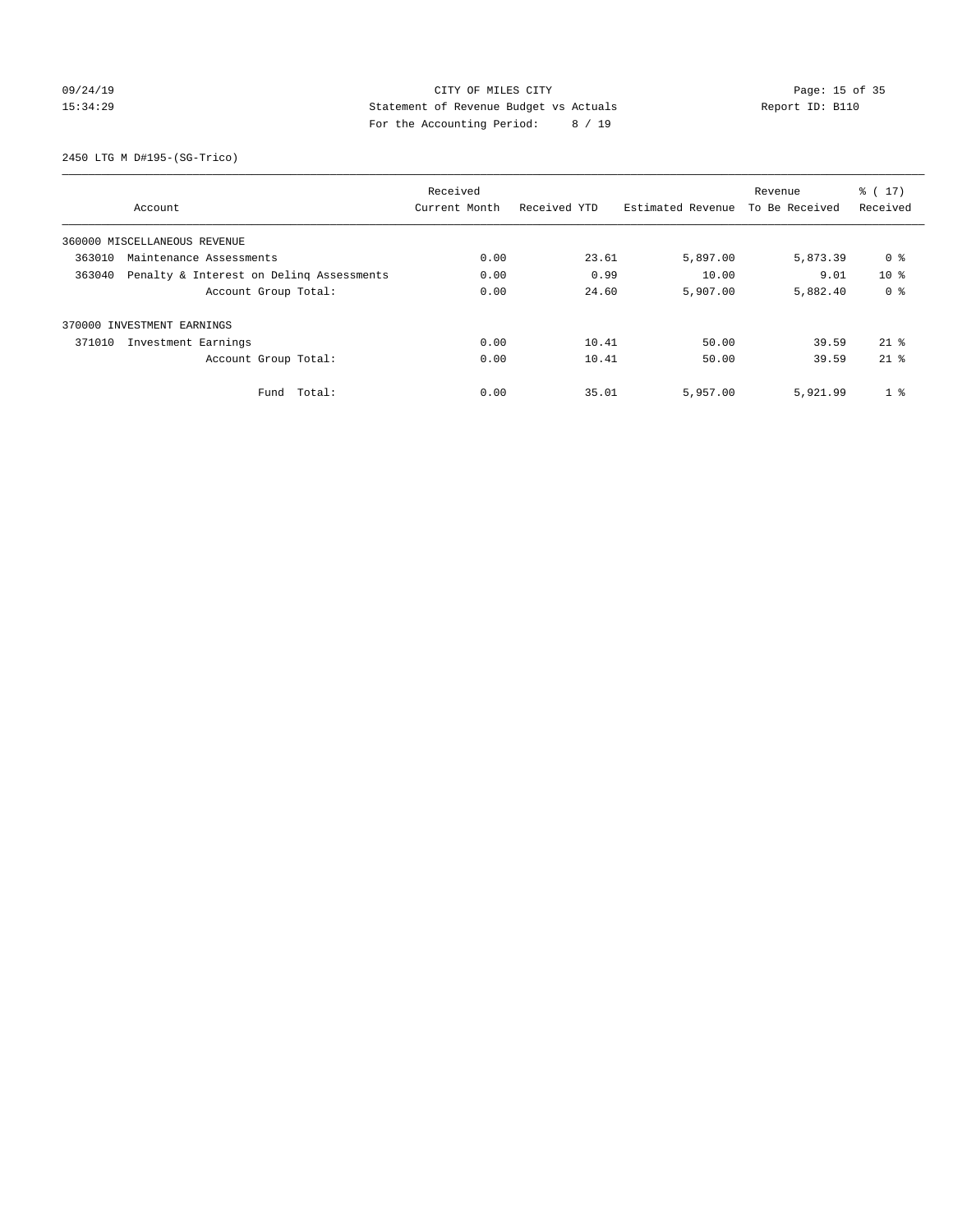# 09/24/19 Page: 15 of 35 15:34:29 Statement of Revenue Budget vs Actuals Report ID: B110 For the Accounting Period: 8 / 19

2450 LTG M D#195-(SG-Trico)

| Received                                           |               |              |                   |                | $\frac{2}{3}$ ( 17) |
|----------------------------------------------------|---------------|--------------|-------------------|----------------|---------------------|
| Account                                            | Current Month | Received YTD | Estimated Revenue | To Be Received | Received            |
| 360000 MISCELLANEOUS REVENUE                       |               |              |                   |                |                     |
| 363010<br>Maintenance Assessments                  | 0.00          | 23.61        | 5,897.00          | 5,873.39       | 0 %                 |
| 363040<br>Penalty & Interest on Deling Assessments | 0.00          | 0.99         | 10.00             | 9.01           | $10*$               |
| Account Group Total:                               | 0.00          | 24.60        | 5,907.00          | 5,882.40       | 0 <sup>8</sup>      |
| 370000 INVESTMENT EARNINGS                         |               |              |                   |                |                     |
| 371010<br>Investment Earnings                      | 0.00          | 10.41        | 50.00             | 39.59          | $21*$               |
| Account Group Total:                               | 0.00          | 10.41        | 50.00             | 39.59          | $21*$               |
| Total:<br>Fund                                     | 0.00          | 35.01        | 5,957.00          | 5,921.99       | 1 <sup>8</sup>      |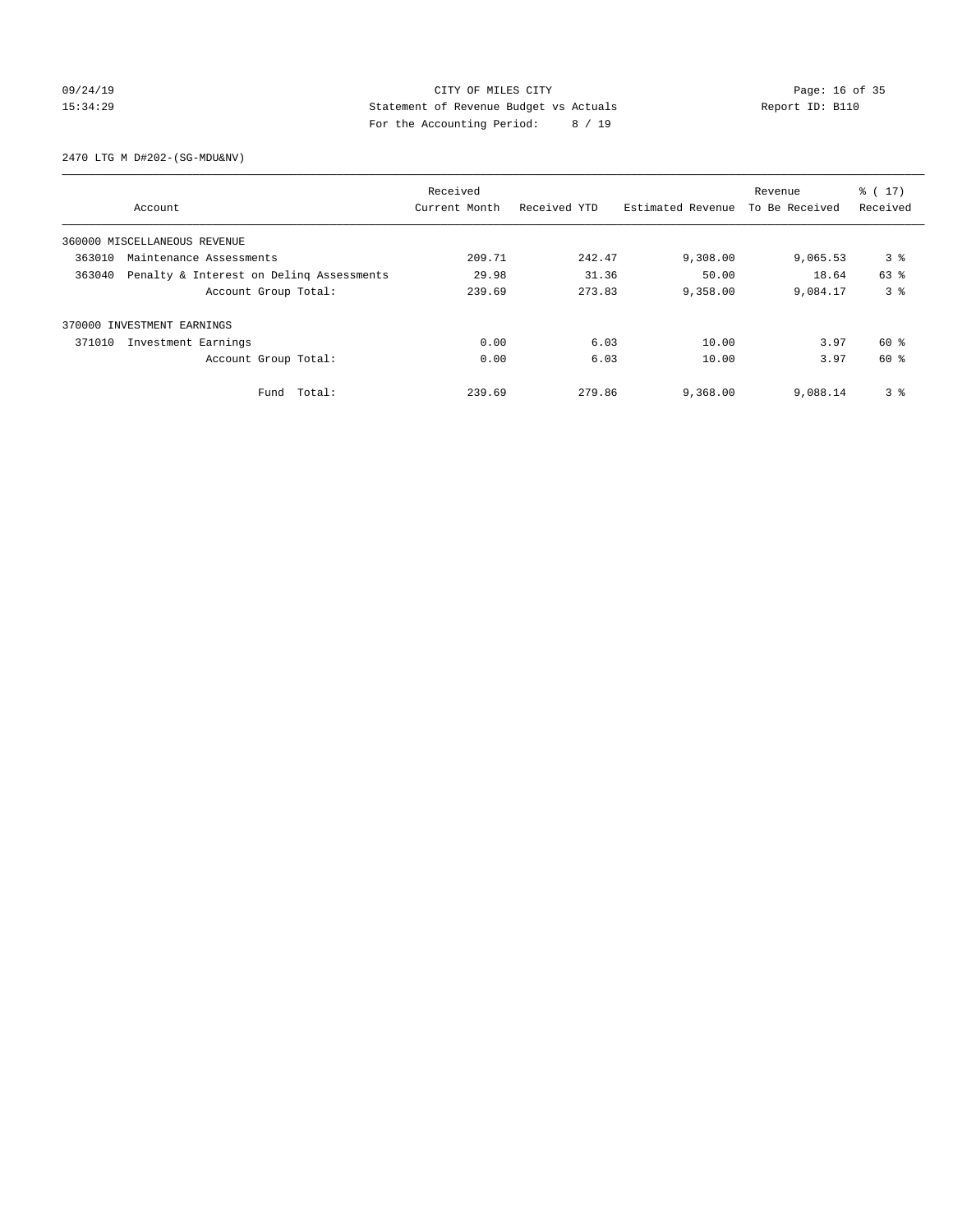# 09/24/19 Page: 16 of 35 15:34:29 Statement of Revenue Budget vs Actuals Report ID: B110 For the Accounting Period: 8 / 19

2470 LTG M D#202-(SG-MDU&NV)

| Received |                                          |               |              |                   | Revenue        | $\frac{2}{3}$ ( 17) |
|----------|------------------------------------------|---------------|--------------|-------------------|----------------|---------------------|
|          | Account                                  | Current Month | Received YTD | Estimated Revenue | To Be Received | Received            |
|          | 360000 MISCELLANEOUS REVENUE             |               |              |                   |                |                     |
| 363010   | Maintenance Assessments                  | 209.71        | 242.47       | 9,308.00          | 9,065.53       | 3 <sup>8</sup>      |
| 363040   | Penalty & Interest on Deling Assessments |               | 31.36        | 50.00             | 18.64          | 63 %                |
|          | Account Group Total:                     | 239.69        | 273.83       | 9,358.00          | 9,084.17       | 3 <sup>8</sup>      |
|          | 370000 INVESTMENT EARNINGS               |               |              |                   |                |                     |
| 371010   | Investment Earnings                      | 0.00          | 6.03         | 10.00             | 3.97           | 60 %                |
|          | Account Group Total:                     | 0.00          | 6.03         | 10.00             | 3.97           | 60 %                |
|          | Fund Total:                              | 239.69        | 279.86       | 9,368.00          | 9,088.14       | 3 <sup>8</sup>      |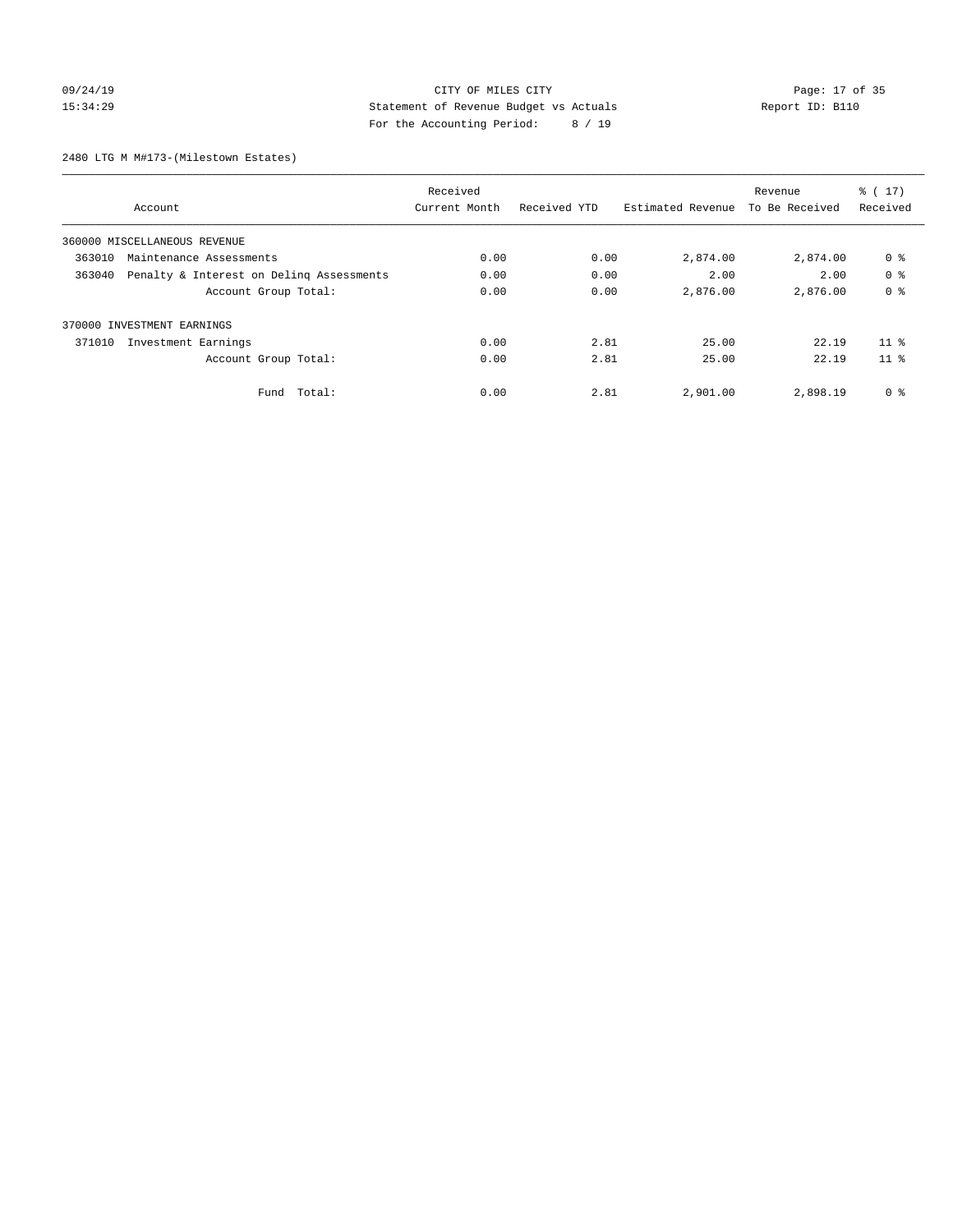# 09/24/19 Page: 17 of 35 15:34:29 Statement of Revenue Budget vs Actuals Report ID: B110 For the Accounting Period: 8 / 19

2480 LTG M M#173-(Milestown Estates)

| Received |                                          |               |              |                   | Revenue        | $\frac{2}{3}$ ( 17) |
|----------|------------------------------------------|---------------|--------------|-------------------|----------------|---------------------|
|          | Account                                  | Current Month | Received YTD | Estimated Revenue | To Be Received | Received            |
|          | 360000 MISCELLANEOUS REVENUE             |               |              |                   |                |                     |
| 363010   | Maintenance Assessments                  | 0.00          | 0.00         | 2,874.00          | 2,874.00       | 0 %                 |
| 363040   | Penalty & Interest on Deling Assessments |               | 0.00         | 2.00              | 2.00           | 0 <sup>8</sup>      |
|          | Account Group Total:                     | 0.00          | 0.00         | 2,876.00          | 2,876.00       | 0 <sup>8</sup>      |
|          | 370000 INVESTMENT EARNINGS               |               |              |                   |                |                     |
| 371010   | Investment Earnings                      | 0.00          | 2.81         | 25.00             | 22.19          | 11 <sup>8</sup>     |
|          | Account Group Total:                     | 0.00          | 2.81         | 25.00             | 22.19          | 11 <sup>8</sup>     |
|          | Fund Total:                              | 0.00          | 2.81         | 2,901.00          | 2,898.19       | 0 %                 |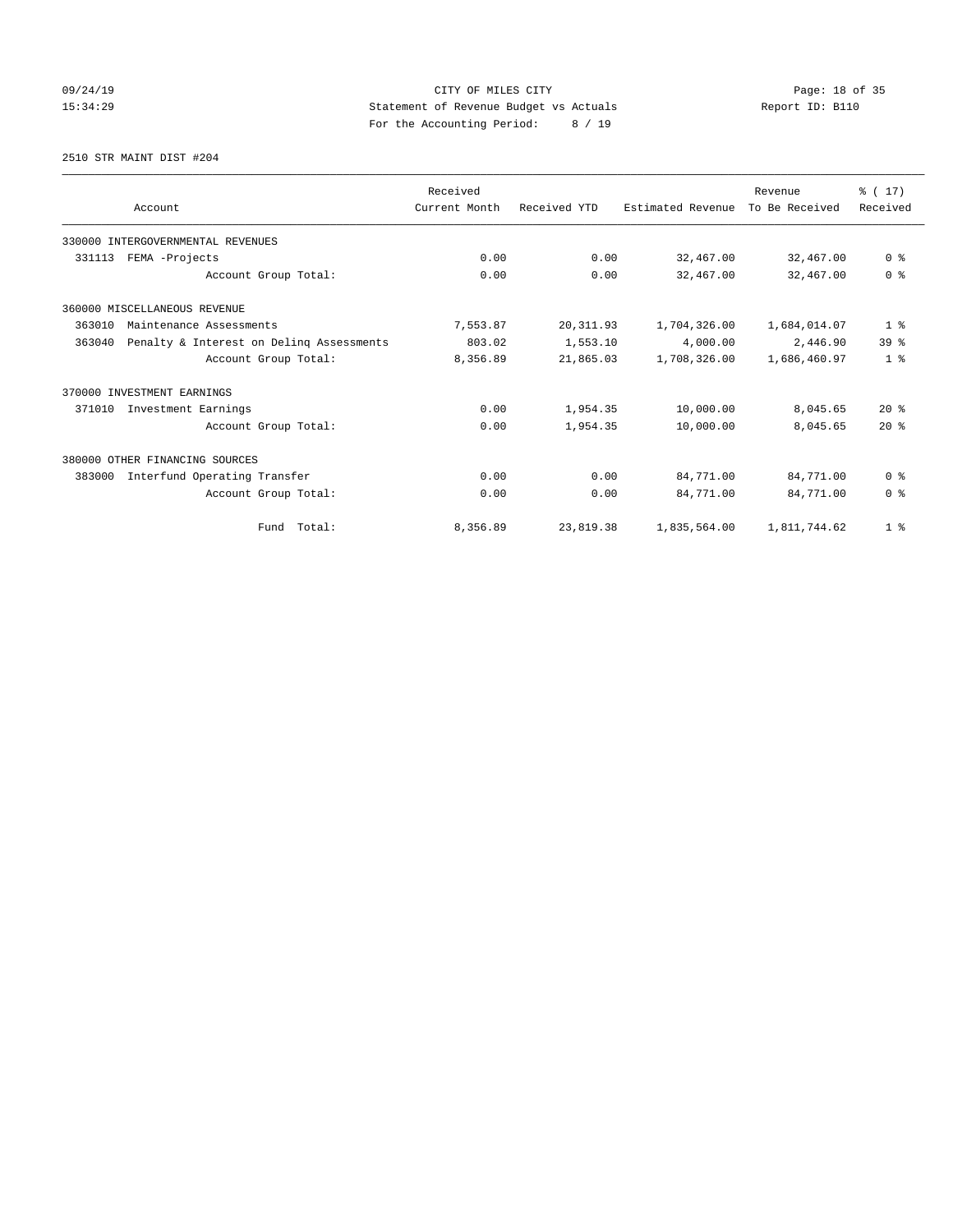# 09/24/19 Page: 18 of 35 15:34:29 Statement of Revenue Budget vs Actuals Report ID: B110 For the Accounting Period: 8 / 19

2510 STR MAINT DIST #204

|        | Account                                  | Received<br>Current Month | Received YTD | Estimated Revenue | Revenue<br>To Be Received | $\frac{1}{6}$ (17)<br>Received |
|--------|------------------------------------------|---------------------------|--------------|-------------------|---------------------------|--------------------------------|
|        | 330000 INTERGOVERNMENTAL REVENUES        |                           |              |                   |                           |                                |
| 331113 | FEMA -Projects                           | 0.00                      | 0.00         | 32,467.00         | 32,467.00                 | 0 <sup>8</sup>                 |
|        | Account Group Total:                     | 0.00                      | 0.00         | 32,467.00         | 32,467.00                 | 0 <sup>8</sup>                 |
|        | 360000 MISCELLANEOUS REVENUE             |                           |              |                   |                           |                                |
| 363010 | Maintenance Assessments                  | 7,553.87                  | 20, 311.93   | 1,704,326.00      | 1,684,014.07              | 1 <sup>8</sup>                 |
| 363040 | Penalty & Interest on Delinq Assessments | 803.02                    | 1,553.10     | 4,000.00          | 2,446.90                  | 39 <sup>8</sup>                |
|        | Account Group Total:                     | 8,356.89                  | 21,865.03    | 1,708,326.00      | 1,686,460.97              | 1 <sup>8</sup>                 |
|        | 370000 INVESTMENT EARNINGS               |                           |              |                   |                           |                                |
| 371010 | Investment Earnings                      | 0.00                      | 1,954.35     | 10,000.00         | 8,045.65                  | $20*$                          |
|        | Account Group Total:                     | 0.00                      | 1,954.35     | 10,000.00         | 8,045.65                  | $20*$                          |
|        | 380000 OTHER FINANCING SOURCES           |                           |              |                   |                           |                                |
| 383000 | Interfund Operating Transfer             | 0.00                      | 0.00         | 84,771.00         | 84,771.00                 | 0 <sup>8</sup>                 |
|        | Account Group Total:                     | 0.00                      | 0.00         | 84,771.00         | 84,771.00                 | 0 <sup>8</sup>                 |
|        | Fund Total:                              | 8,356.89                  | 23,819.38    | 1,835,564.00      | 1,811,744.62              | 1 <sup>8</sup>                 |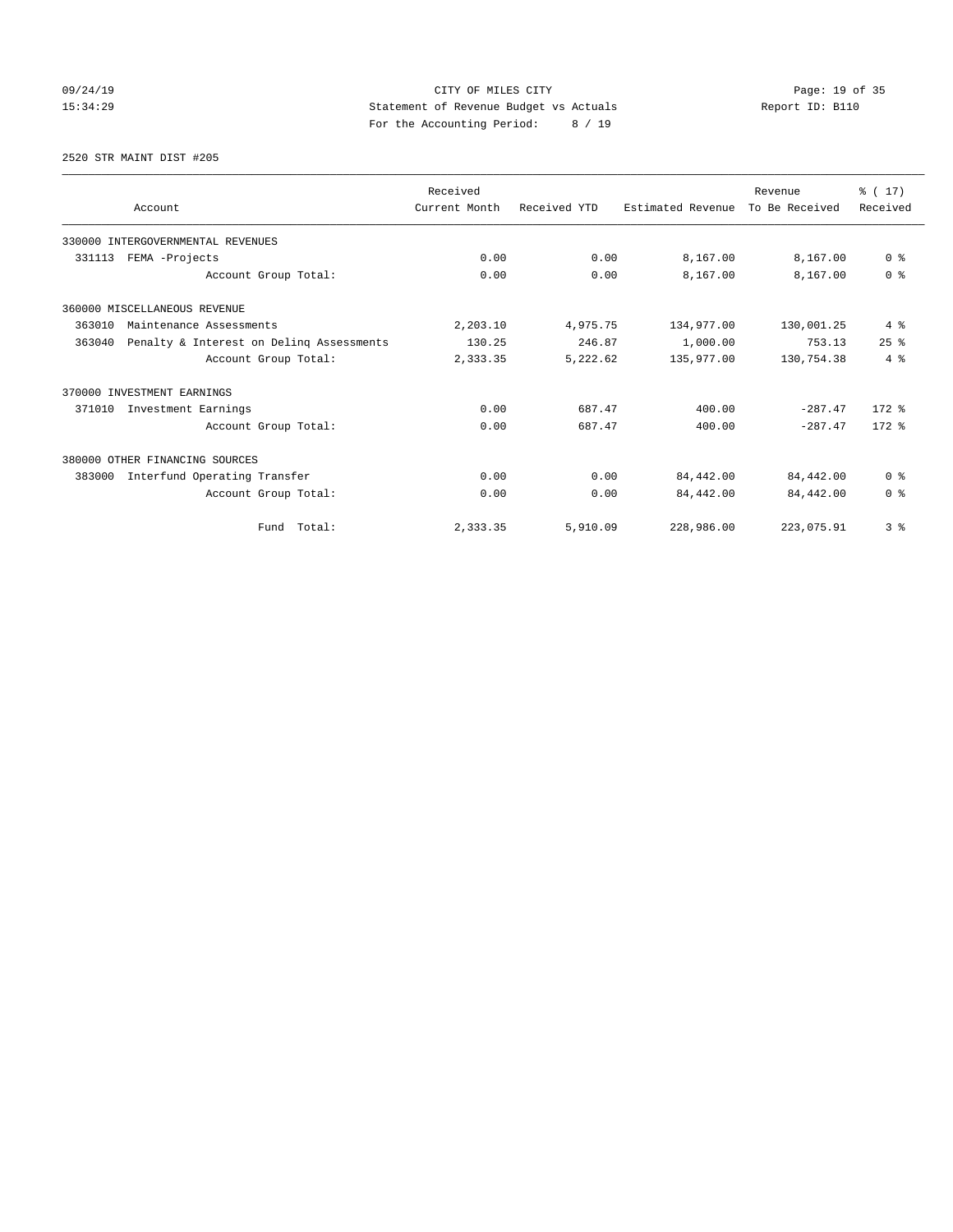# 09/24/19 Page: 19 of 35 15:34:29 Statement of Revenue Budget vs Actuals Report ID: B110 For the Accounting Period: 8 / 19

2520 STR MAINT DIST #205

|        |                                          | Received      |              |                   | Revenue        | $\frac{1}{6}$ (17) |
|--------|------------------------------------------|---------------|--------------|-------------------|----------------|--------------------|
|        | Account                                  | Current Month | Received YTD | Estimated Revenue | To Be Received | Received           |
|        | 330000 INTERGOVERNMENTAL REVENUES        |               |              |                   |                |                    |
| 331113 | FEMA -Projects                           | 0.00          | 0.00         | 8,167.00          | 8,167.00       | 0 <sup>8</sup>     |
|        | Account Group Total:                     | 0.00          | 0.00         | 8,167.00          | 8,167.00       | 0 <sup>8</sup>     |
|        | 360000 MISCELLANEOUS REVENUE             |               |              |                   |                |                    |
| 363010 | Maintenance Assessments                  |               | 4,975.75     | 134,977.00        | 130,001.25     | 4%                 |
| 363040 | Penalty & Interest on Deling Assessments | 130.25        | 246.87       | 1,000.00          | 753.13         | 25%                |
|        | Account Group Total:                     | 2,333.35      | 5,222.62     | 135,977.00        | 130,754.38     | 4%                 |
|        | 370000 INVESTMENT EARNINGS               |               |              |                   |                |                    |
| 371010 | Investment Earnings                      | 0.00          | 687.47       | 400.00            | $-287.47$      | $172$ $%$          |
|        | Account Group Total:                     | 0.00          | 687.47       | 400.00            | $-287.47$      | $172.$ %           |
|        | 380000 OTHER FINANCING SOURCES           |               |              |                   |                |                    |
| 383000 | Interfund Operating Transfer             | 0.00          | 0.00         | 84,442.00         | 84,442.00      | 0 <sup>8</sup>     |
|        | Account Group Total:                     | 0.00          | 0.00         | 84,442.00         | 84,442.00      | 0 <sup>8</sup>     |
|        | Fund Total:                              | 2,333.35      | 5,910.09     | 228,986.00        | 223,075.91     | 3 <sup>8</sup>     |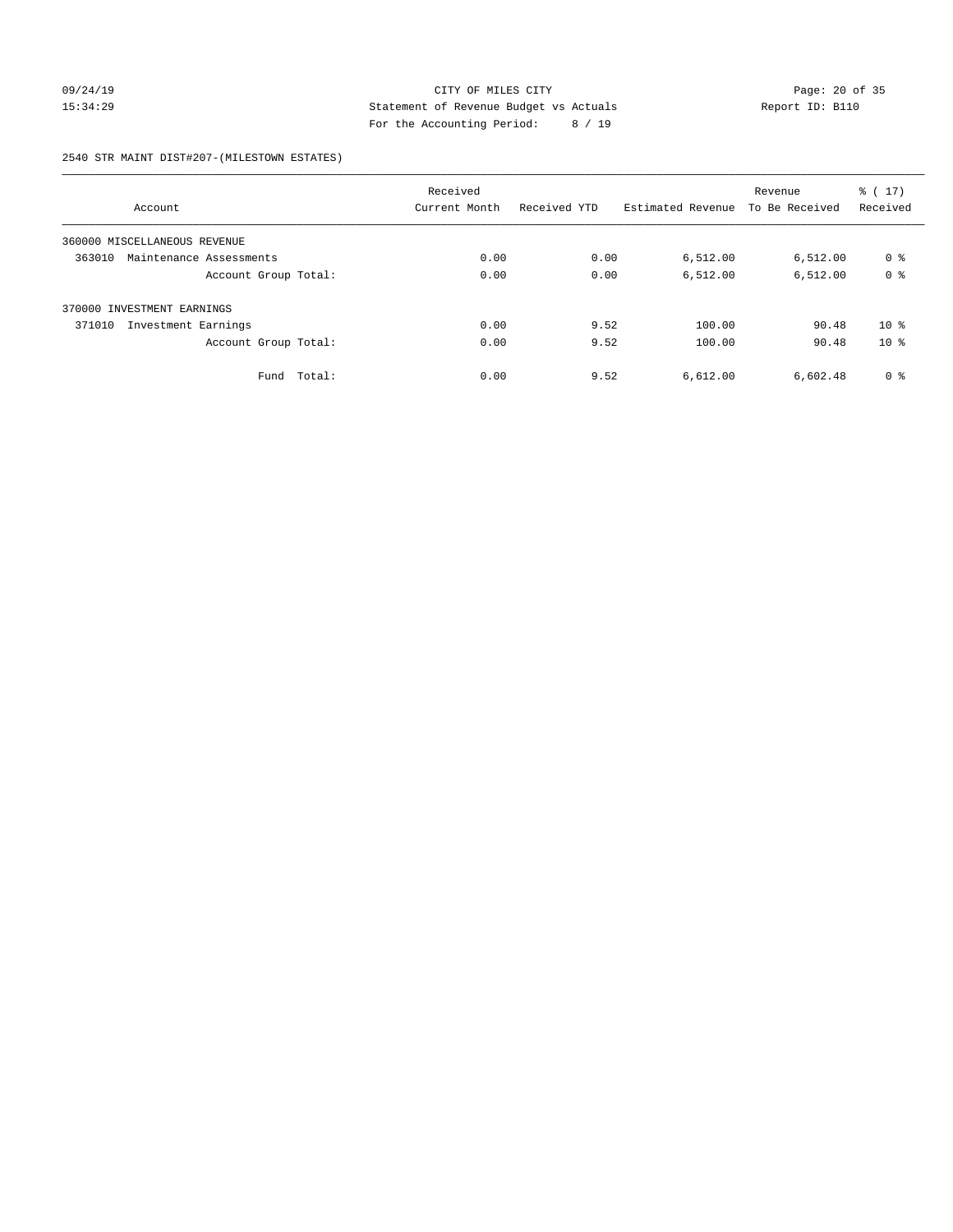# 09/24/19 Page: 20 of 35 15:34:29 Statement of Revenue Budget vs Actuals Report ID: B110 For the Accounting Period: 8 / 19

### 2540 STR MAINT DIST#207-(MILESTOWN ESTATES)

|                                   | Received      |              |                   | Revenue        | $\frac{1}{6}$ (17) |
|-----------------------------------|---------------|--------------|-------------------|----------------|--------------------|
| Account                           | Current Month | Received YTD | Estimated Revenue | To Be Received | Received           |
| 360000 MISCELLANEOUS REVENUE      |               |              |                   |                |                    |
| 363010<br>Maintenance Assessments | 0.00          | 0.00         | 6,512.00          | 6,512.00       | 0 %                |
| Account Group Total:              | 0.00          | 0.00         | 6,512.00          | 6,512.00       | 0 <sup>8</sup>     |
| 370000 INVESTMENT EARNINGS        |               |              |                   |                |                    |
| 371010<br>Investment Earnings     | 0.00          | 9.52         | 100.00            | 90.48          | $10*$              |
| Account Group Total:              | 0.00          | 9.52         | 100.00            | 90.48          | $10*$              |
| Total:<br>Fund                    | 0.00          | 9.52         | 6,612.00          | 6,602.48       | 0 <sup>8</sup>     |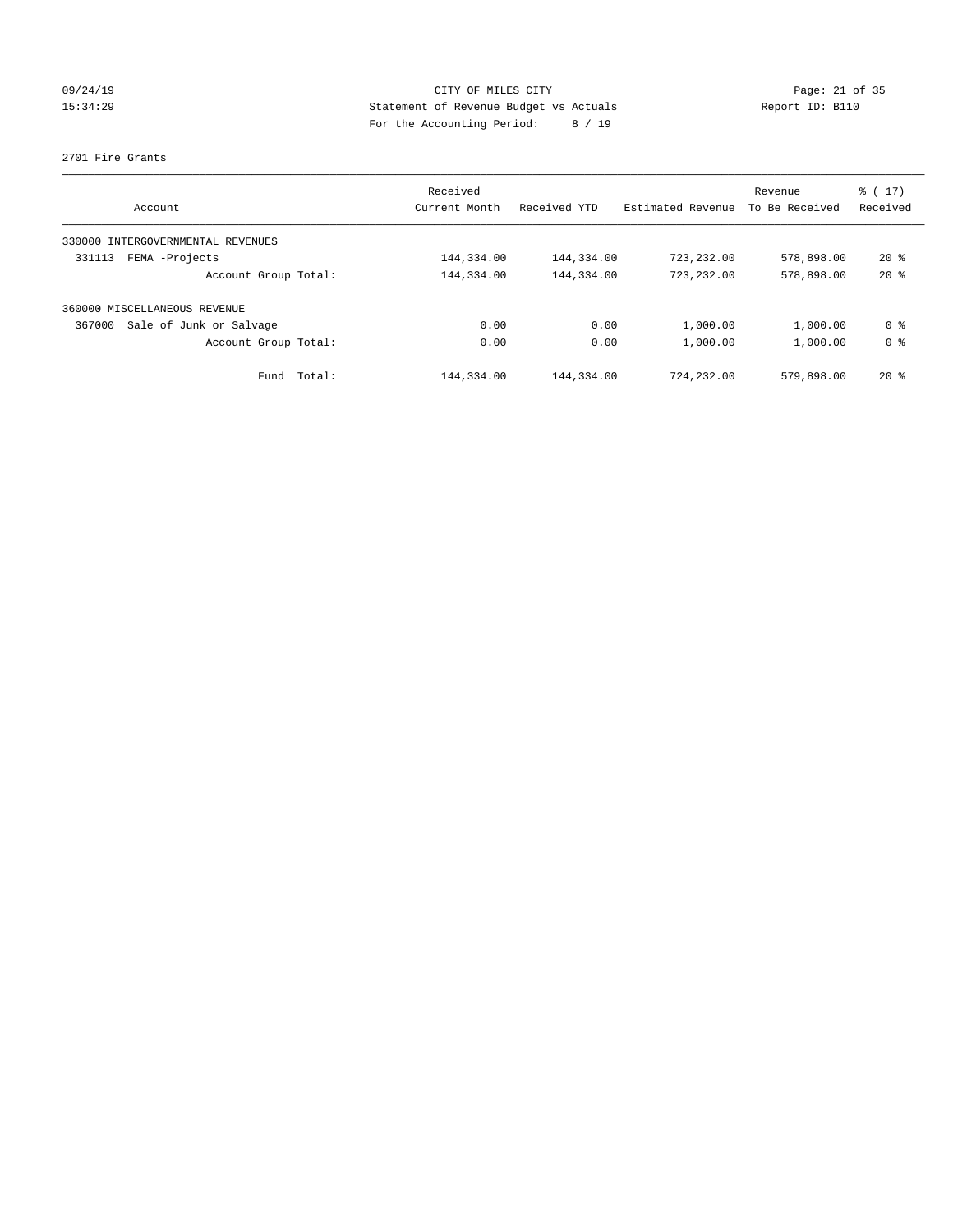# 09/24/19 Page: 21 of 35 15:34:29 Statement of Revenue Budget vs Actuals Report ID: B110 For the Accounting Period: 8 / 19

### 2701 Fire Grants

| Account                           | Received<br>Current Month | Received YTD | Estimated Revenue | Revenue<br>To Be Received | $\frac{1}{6}$ ( 17)<br>Received |
|-----------------------------------|---------------------------|--------------|-------------------|---------------------------|---------------------------------|
| 330000 INTERGOVERNMENTAL REVENUES |                           |              |                   |                           |                                 |
| FEMA -Projects<br>331113          | 144,334.00                | 144,334.00   | 723,232.00        | 578,898.00                | $20*$                           |
| Account Group Total:              | 144,334.00                | 144,334.00   | 723,232.00        | 578,898.00                | $20*$                           |
| 360000 MISCELLANEOUS REVENUE      |                           |              |                   |                           |                                 |
| Sale of Junk or Salvage<br>367000 | 0.00                      | 0.00         | 1,000.00          | 1,000.00                  | 0 <sup>8</sup>                  |
| Account Group Total:              | 0.00                      | 0.00         | 1,000.00          | 1,000.00                  | 0 <sup>8</sup>                  |
| Fund Total:                       | 144,334.00                | 144,334.00   | 724,232.00        | 579,898.00                | $20*$                           |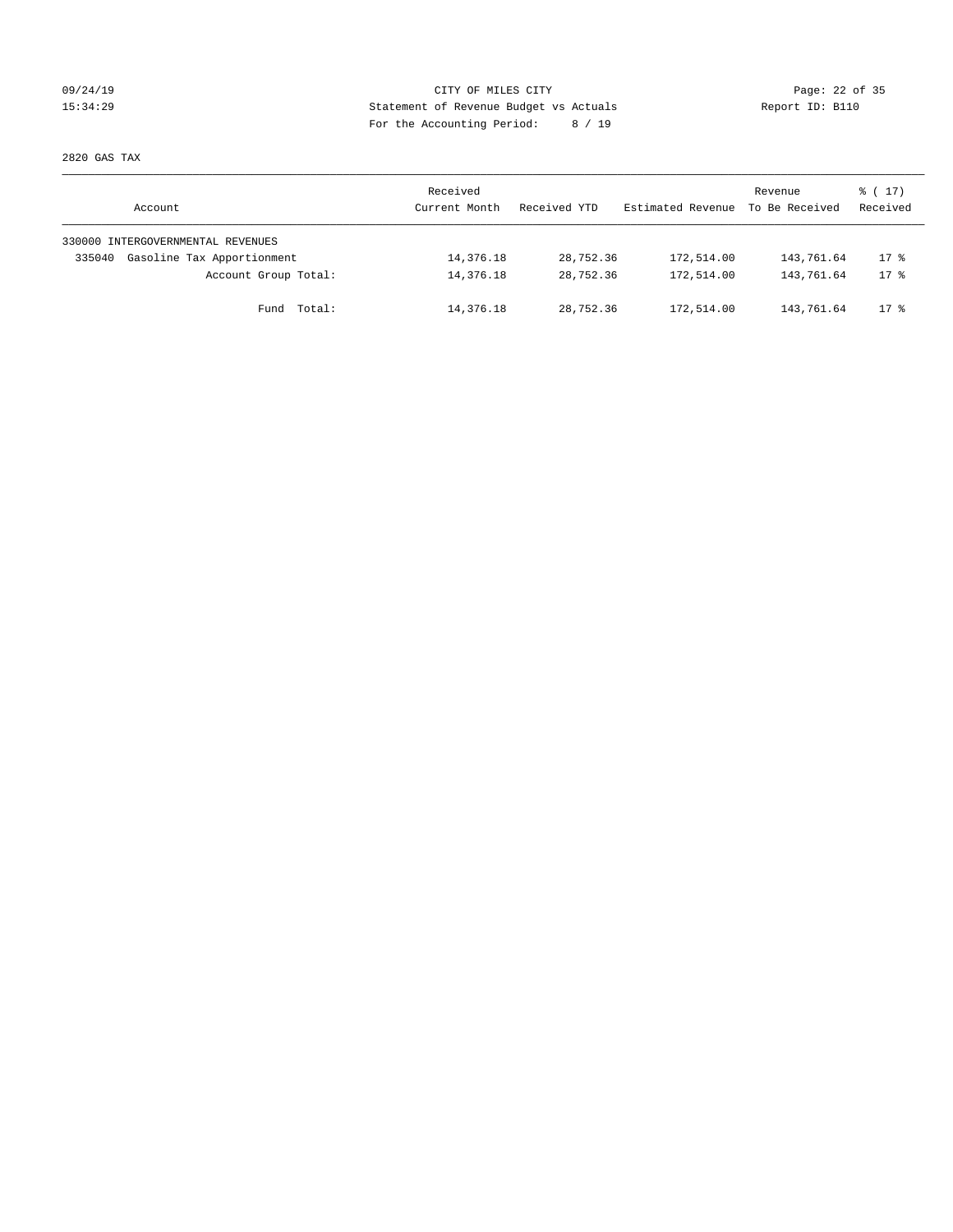# 09/24/19 Page: 22 of 35 15:34:29 Statement of Revenue Budget vs Actuals Report ID: B110 For the Accounting Period: 8 / 19

2820 GAS TAX

| Account                              | Received<br>Current Month | Received YTD | Estimated Revenue | Revenue<br>To Be Received | $\frac{1}{6}$ ( 17)<br>Received |
|--------------------------------------|---------------------------|--------------|-------------------|---------------------------|---------------------------------|
| 330000 INTERGOVERNMENTAL REVENUES    |                           |              |                   |                           |                                 |
| Gasoline Tax Apportionment<br>335040 | 14,376.18                 | 28,752.36    | 172,514.00        | 143,761.64                | $17$ %                          |
| Account Group Total:                 | 14,376.18                 | 28,752.36    | 172,514.00        | 143,761.64                | $17*$                           |
| Fund Total:                          | 14,376.18                 | 28,752.36    | 172,514.00        | 143,761.64                | $17$ %                          |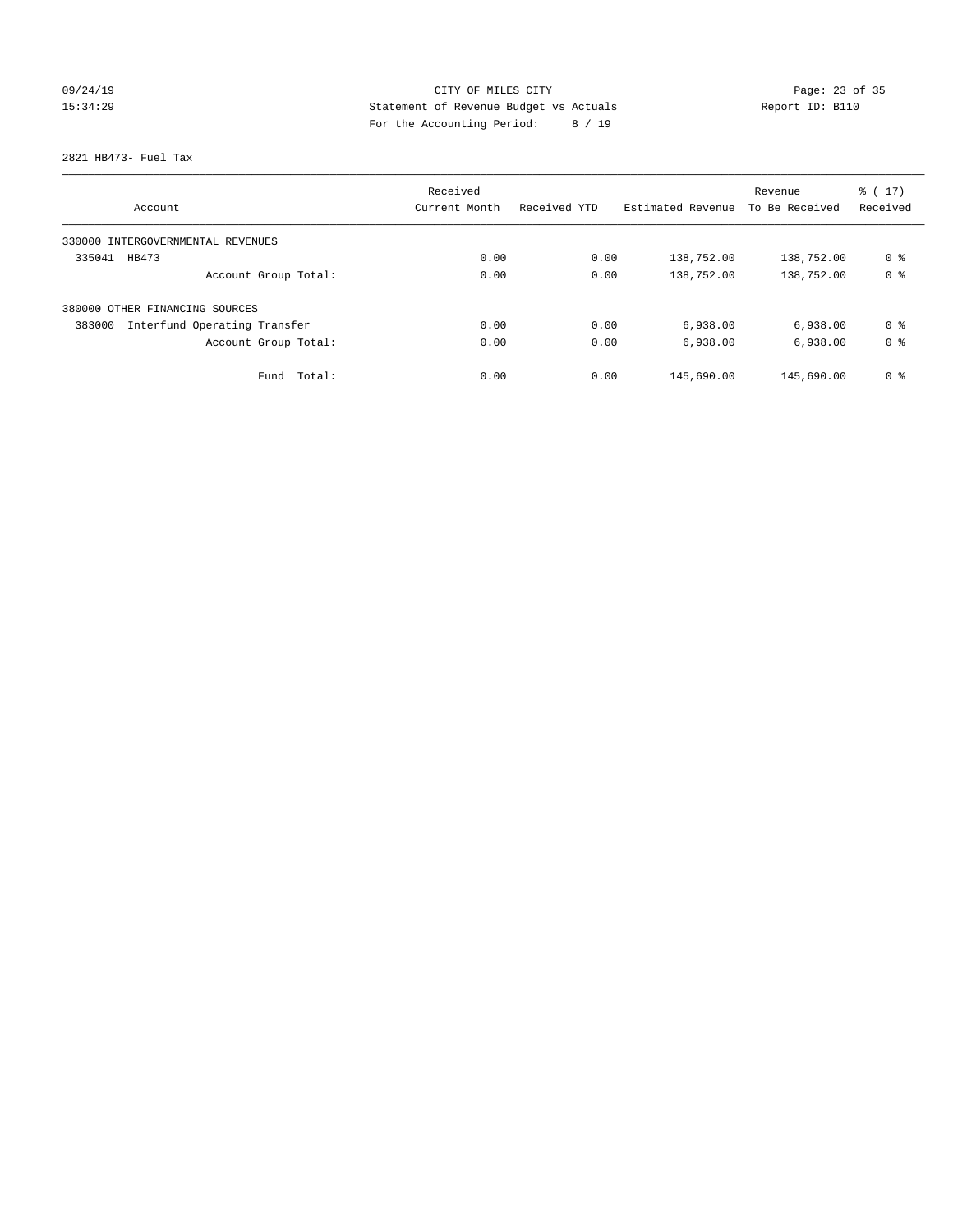# 09/24/19 Page: 23 of 35 15:34:29 Statement of Revenue Budget vs Actuals Report ID: B110 For the Accounting Period: 8 / 19

2821 HB473- Fuel Tax

| Account                                | Received<br>Current Month | Received YTD | Estimated Revenue | Revenue<br>To Be Received | $\frac{1}{6}$ ( 17 )<br>Received |
|----------------------------------------|---------------------------|--------------|-------------------|---------------------------|----------------------------------|
|                                        |                           |              |                   |                           |                                  |
| 330000 INTERGOVERNMENTAL REVENUES      |                           |              |                   |                           |                                  |
| 335041<br>HB473                        | 0.00                      | 0.00         | 138,752.00        | 138,752.00                | 0 %                              |
| Account Group Total:                   | 0.00                      | 0.00         | 138,752.00        | 138,752.00                | 0 <sup>8</sup>                   |
| 380000 OTHER FINANCING SOURCES         |                           |              |                   |                           |                                  |
| Interfund Operating Transfer<br>383000 | 0.00                      | 0.00         | 6,938.00          | 6,938.00                  | 0 <sup>8</sup>                   |
| Account Group Total:                   | 0.00                      | 0.00         | 6,938.00          | 6,938.00                  | 0 <sup>8</sup>                   |
| Total:<br>Fund                         | 0.00                      | 0.00         | 145,690.00        | 145,690.00                | 0 <sup>8</sup>                   |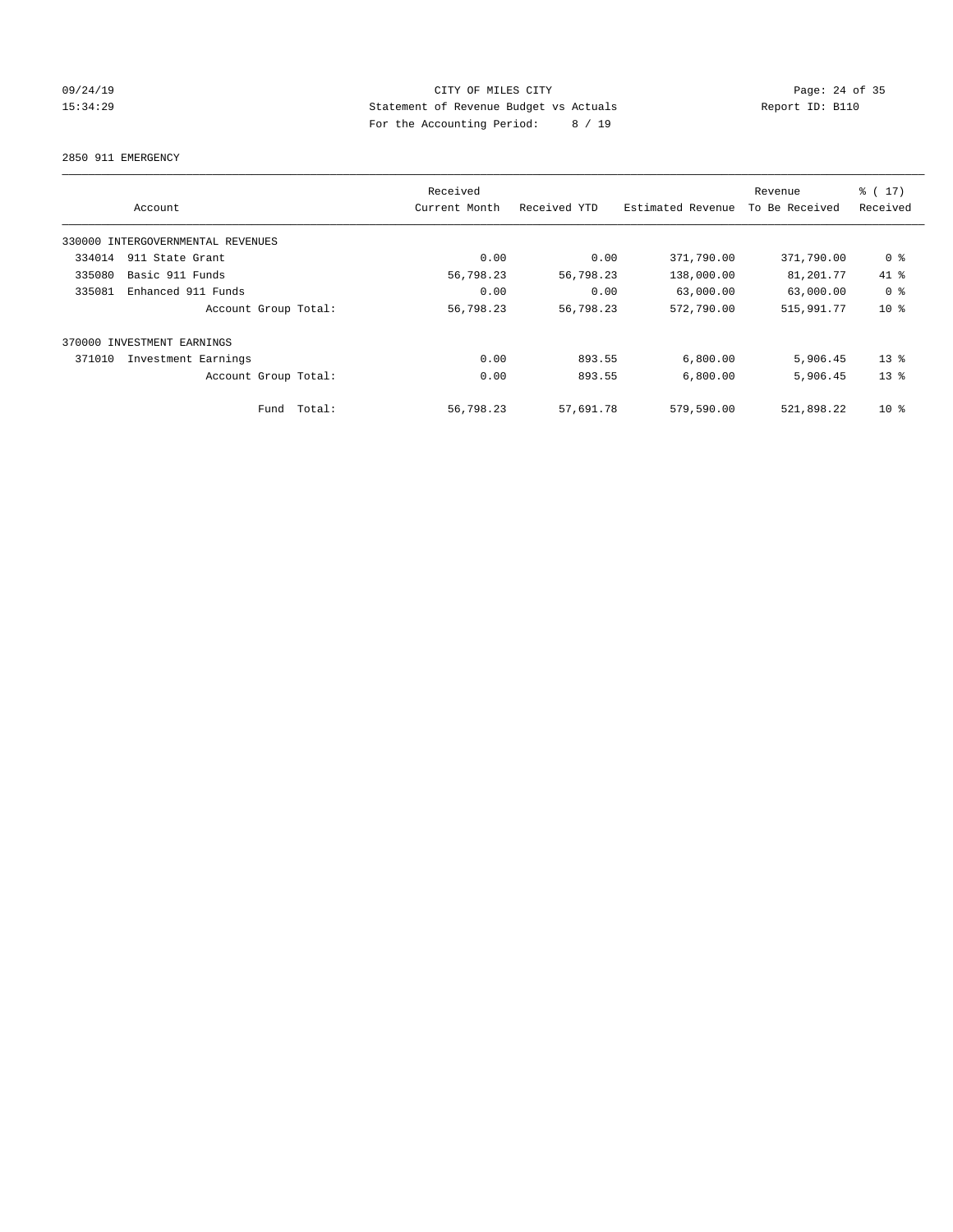# 09/24/19 Page: 24 of 35 15:34:29 Statement of Revenue Budget vs Actuals Report ID: B110 For the Accounting Period: 8 / 19

2850 911 EMERGENCY

|        | Account                           |             | Received<br>Current Month | Received YTD | Estimated Revenue | Revenue<br>To Be Received | % (17)<br>Received |
|--------|-----------------------------------|-------------|---------------------------|--------------|-------------------|---------------------------|--------------------|
|        | 330000 INTERGOVERNMENTAL REVENUES |             |                           |              |                   |                           |                    |
| 334014 | 911 State Grant                   |             | 0.00                      | 0.00         | 371,790.00        | 371,790.00                | 0 %                |
| 335080 | Basic 911 Funds                   |             | 56,798.23                 | 56,798.23    | 138,000.00        | 81,201.77                 | 41 %               |
| 335081 | Enhanced 911 Funds                |             | 0.00                      | 0.00         | 63,000.00         | 63,000.00                 | 0 <sup>8</sup>     |
|        | Account Group Total:              |             | 56,798.23                 | 56,798.23    | 572,790.00        | 515,991.77                | $10*$              |
|        | 370000 INVESTMENT EARNINGS        |             |                           |              |                   |                           |                    |
| 371010 | Investment Earnings               |             | 0.00                      | 893.55       | 6,800.00          | 5,906.45                  | $13*$              |
|        | Account Group Total:              |             | 0.00                      | 893.55       | 6,800.00          | 5,906.45                  | 13 <sup>8</sup>    |
|        |                                   | Fund Total: | 56,798.23                 | 57,691.78    | 579,590.00        | 521,898.22                | $10*$              |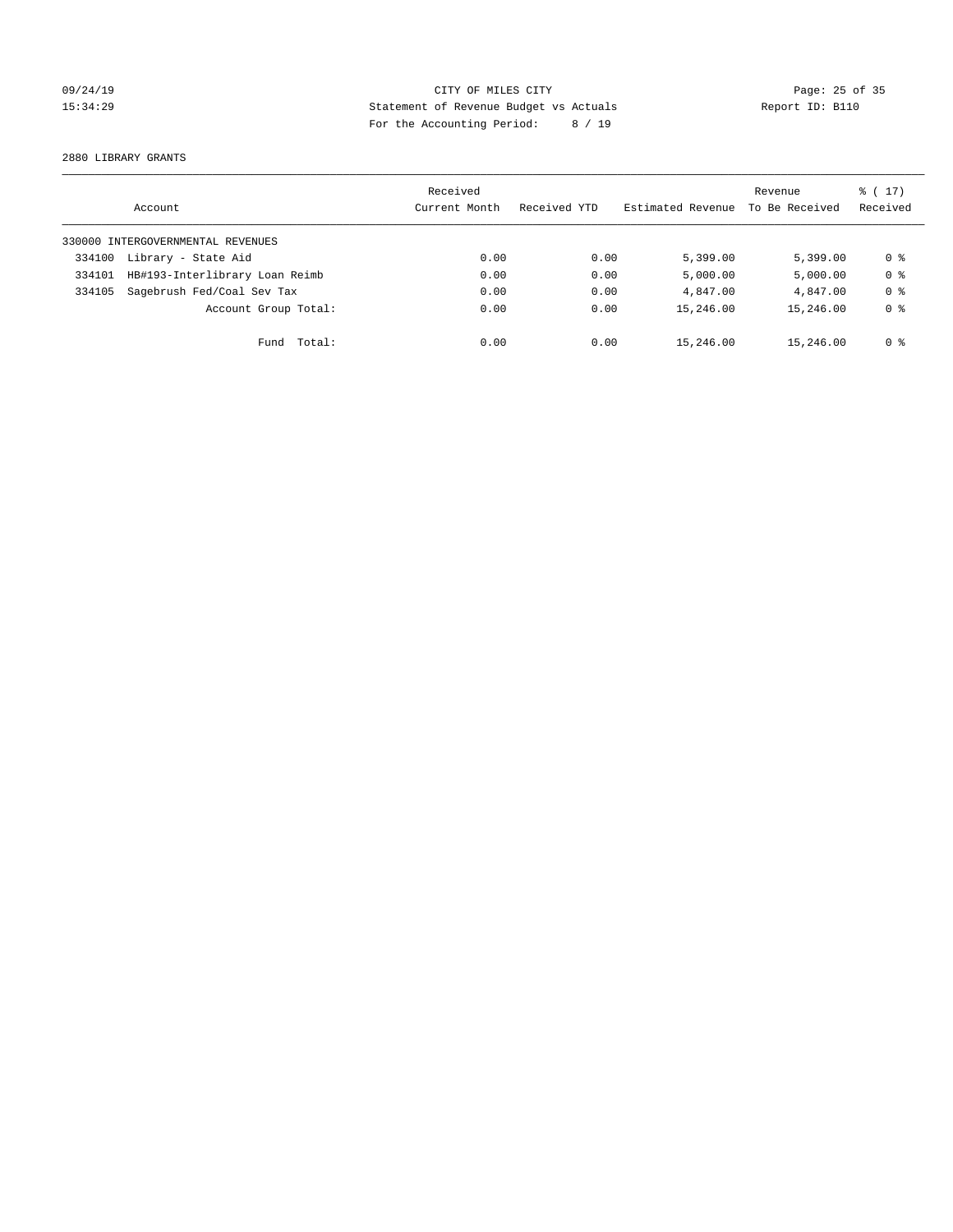# 09/24/19 Page: 25 of 35 15:34:29 Statement of Revenue Budget vs Actuals Report ID: B110 For the Accounting Period: 8 / 19

2880 LIBRARY GRANTS

|        | Account                           | Received<br>Current Month | Received YTD | Estimated Revenue | Revenue<br>To Be Received | $\frac{1}{6}$ (17)<br>Received |
|--------|-----------------------------------|---------------------------|--------------|-------------------|---------------------------|--------------------------------|
|        | 330000 INTERGOVERNMENTAL REVENUES |                           |              |                   |                           |                                |
| 334100 | Library - State Aid               | 0.00                      | 0.00         | 5,399.00          | 5.399.00                  | 0 %                            |
| 334101 | HB#193-Interlibrary Loan Reimb    | 0.00                      | 0.00         | 5,000.00          | 5,000.00                  | 0 <sup>8</sup>                 |
| 334105 | Sagebrush Fed/Coal Sev Tax        | 0.00                      | 0.00         | 4,847.00          | 4,847.00                  | 0 <sup>8</sup>                 |
|        | Account Group Total:              | 0.00                      | 0.00         | 15,246.00         | 15,246.00                 | 0 <sup>8</sup>                 |
|        | Fund Total:                       | 0.00                      | 0.00         | 15,246.00         | 15,246.00                 | 0 %                            |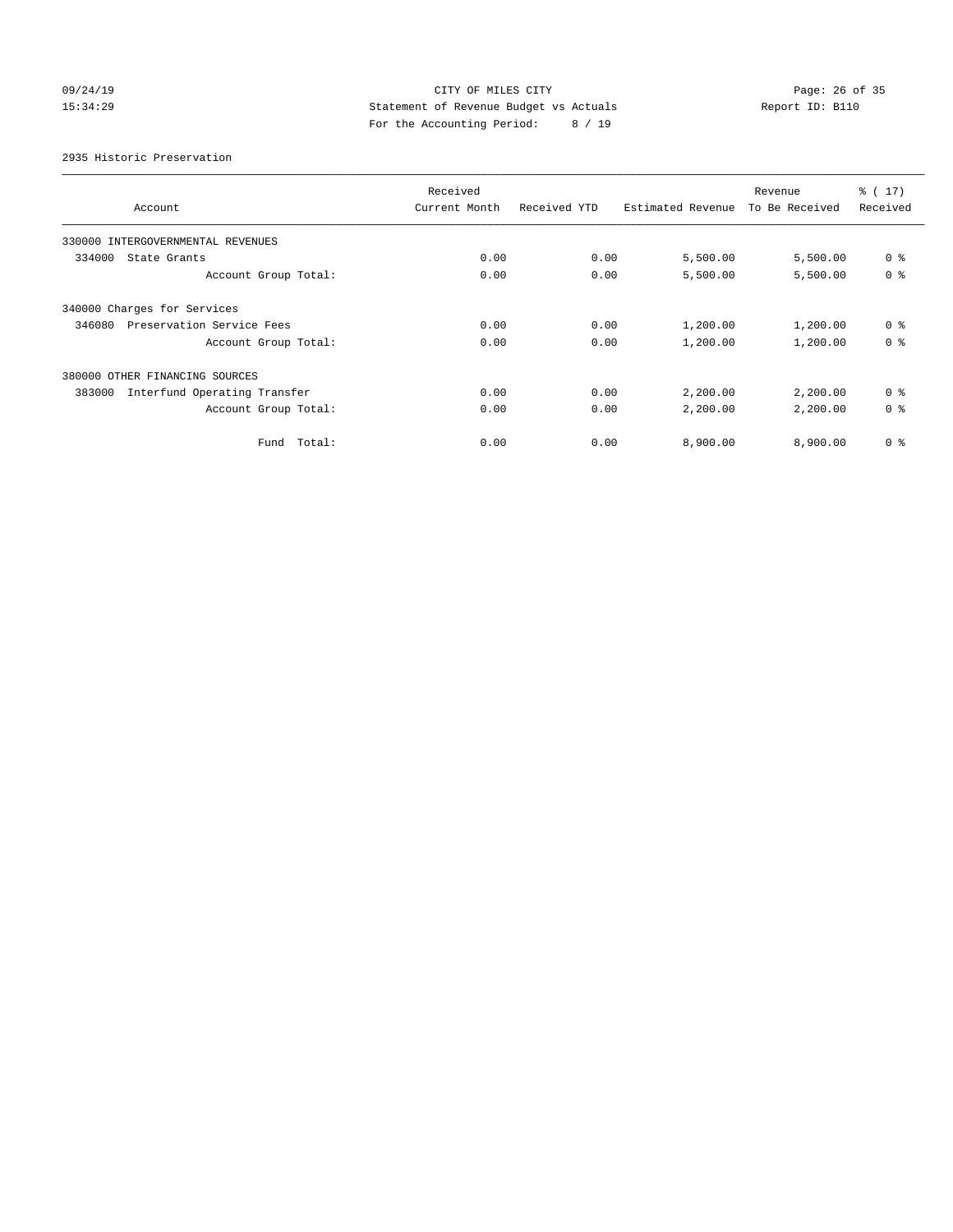# 09/24/19 Page: 26 of 35 15:34:29 Statement of Revenue Budget vs Actuals Report ID: B110 For the Accounting Period: 8 / 19

2935 Historic Preservation

|                                        | Received      |              |                   | Revenue        | $\frac{1}{6}$ (17) |
|----------------------------------------|---------------|--------------|-------------------|----------------|--------------------|
| Account                                | Current Month | Received YTD | Estimated Revenue | To Be Received | Received           |
| 330000 INTERGOVERNMENTAL REVENUES      |               |              |                   |                |                    |
| 334000<br>State Grants                 | 0.00          | 0.00         | 5,500.00          | 5,500.00       | 0 <sup>8</sup>     |
| Account Group Total:                   | 0.00          | 0.00         | 5,500.00          | 5,500.00       | 0 <sup>8</sup>     |
| 340000 Charges for Services            |               |              |                   |                |                    |
| Preservation Service Fees<br>346080    | 0.00          | 0.00         | 1,200.00          | 1,200.00       | 0 <sup>8</sup>     |
| Account Group Total:                   | 0.00          | 0.00         | 1,200.00          | 1,200.00       | 0 <sup>8</sup>     |
| 380000 OTHER FINANCING SOURCES         |               |              |                   |                |                    |
| Interfund Operating Transfer<br>383000 | 0.00          | 0.00         | 2,200.00          | 2,200.00       | 0 <sup>8</sup>     |
| Account Group Total:                   | 0.00          | 0.00         | 2,200.00          | 2,200.00       | 0 <sup>8</sup>     |
| Fund Total:                            | 0.00          | 0.00         | 8,900.00          | 8,900.00       | 0 <sup>8</sup>     |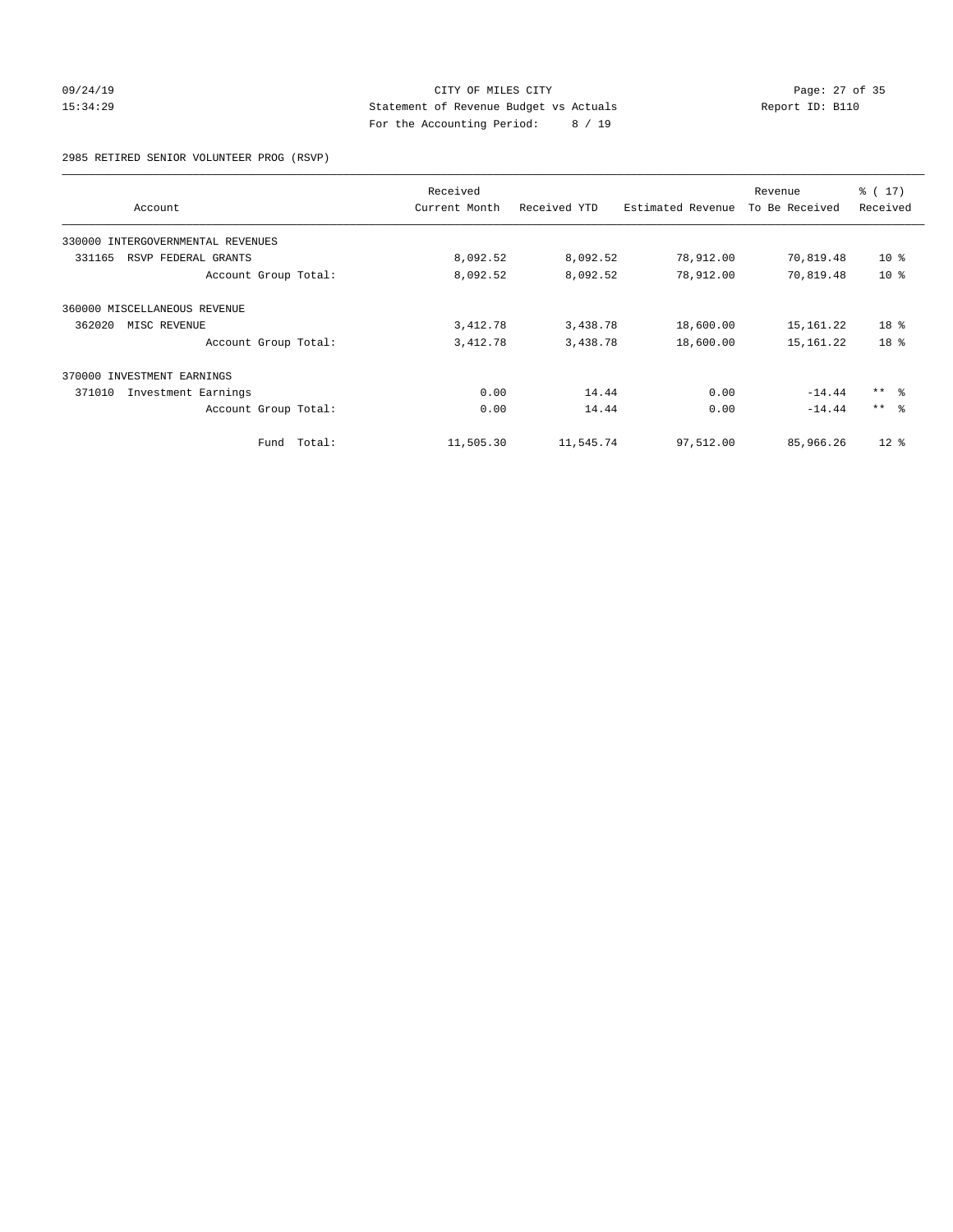# 09/24/19 Page: 27 of 35 15:34:29 Statement of Revenue Budget vs Actuals Report ID: B110 For the Accounting Period: 8 / 19

2985 RETIRED SENIOR VOLUNTEER PROG (RSVP)

|                                   |        | Received      |              |                   | Revenue        | $\frac{1}{6}$ (17) |
|-----------------------------------|--------|---------------|--------------|-------------------|----------------|--------------------|
| Account                           |        | Current Month | Received YTD | Estimated Revenue | To Be Received | Received           |
| 330000 INTERGOVERNMENTAL REVENUES |        |               |              |                   |                |                    |
| 331165<br>RSVP FEDERAL GRANTS     |        | 8,092.52      | 8,092.52     | 78,912.00         | 70,819.48      | $10*$              |
| Account Group Total:              |        | 8,092.52      | 8,092.52     | 78,912.00         | 70,819.48      | $10*$              |
| 360000 MISCELLANEOUS REVENUE      |        |               |              |                   |                |                    |
| 362020<br>MISC REVENUE            |        | 3,412.78      | 3,438.78     | 18,600.00         | 15,161.22      | 18 <sup>8</sup>    |
| Account Group Total:              |        | 3,412.78      | 3,438.78     | 18,600.00         | 15, 161. 22    | 18 <sup>°</sup>    |
| 370000 INVESTMENT EARNINGS        |        |               |              |                   |                |                    |
| 371010<br>Investment Earnings     |        | 0.00          | 14.44        | 0.00              | $-14.44$       | $***$ $ -$         |
| Account Group Total:              |        | 0.00          | 14.44        | 0.00              | $-14.44$       | $***$ $\approx$    |
| Fund                              | Total: | 11,505.30     | 11,545.74    | 97,512.00         | 85,966.26      | $12*$              |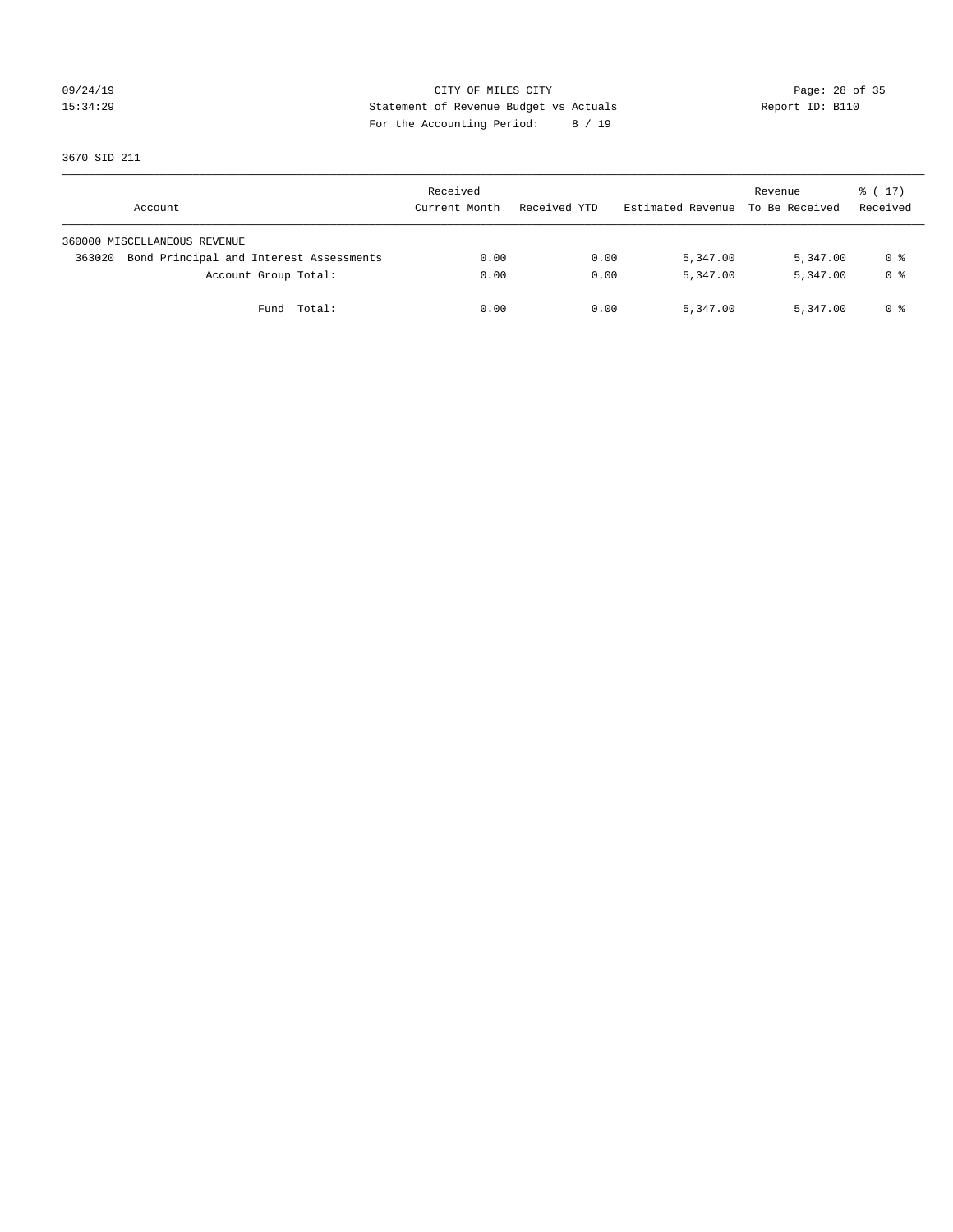# 09/24/19 Page: 28 of 35 15:34:29 Statement of Revenue Budget vs Actuals Report ID: B110 For the Accounting Period: 8 / 19

3670 SID 211

| Account                                           | Received<br>Current Month | Received YTD | Estimated Revenue To Be Received | Revenue  | $\frac{1}{6}$ ( 17)<br>Received |
|---------------------------------------------------|---------------------------|--------------|----------------------------------|----------|---------------------------------|
| 360000 MISCELLANEOUS REVENUE                      |                           |              |                                  |          |                                 |
| Bond Principal and Interest Assessments<br>363020 | 0.00                      | 0.00         | 5,347.00                         | 5,347.00 | 0 %                             |
| Account Group Total:                              | 0.00                      | 0.00         | 5,347.00                         | 5,347.00 | 0 %                             |
| Fund Total:                                       | 0.00                      | 0.00         | 5,347.00                         | 5,347.00 | 0 %                             |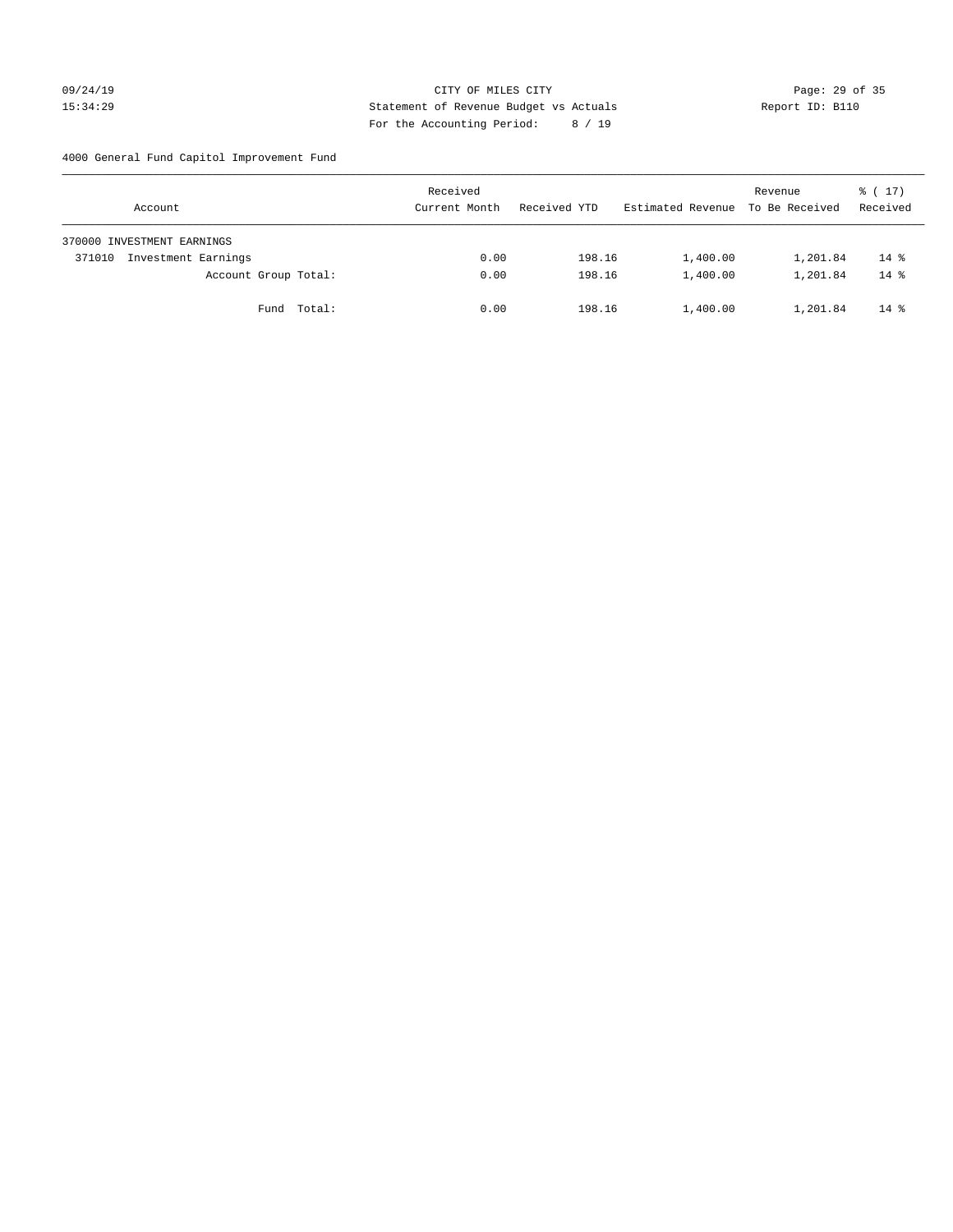# 09/24/19 Page: 29 of 35 15:34:29 Statement of Revenue Budget vs Actuals Report ID: B110 For the Accounting Period: 8 / 19

4000 General Fund Capitol Improvement Fund

| Account                       | Received<br>Current Month | Received YTD | Estimated Revenue | Revenue<br>To Be Received | $\frac{1}{6}$ ( 17 )<br>Received |
|-------------------------------|---------------------------|--------------|-------------------|---------------------------|----------------------------------|
| 370000 INVESTMENT EARNINGS    |                           |              |                   |                           |                                  |
| Investment Earnings<br>371010 | 0.00                      | 198.16       | 1,400.00          | 1,201.84                  | $14*$                            |
| Account Group Total:          | 0.00                      | 198.16       | 1,400.00          | 1,201.84                  | $14*$                            |
| Fund Total:                   | 0.00                      | 198.16       | 1,400.00          | 1,201.84                  | $14*$                            |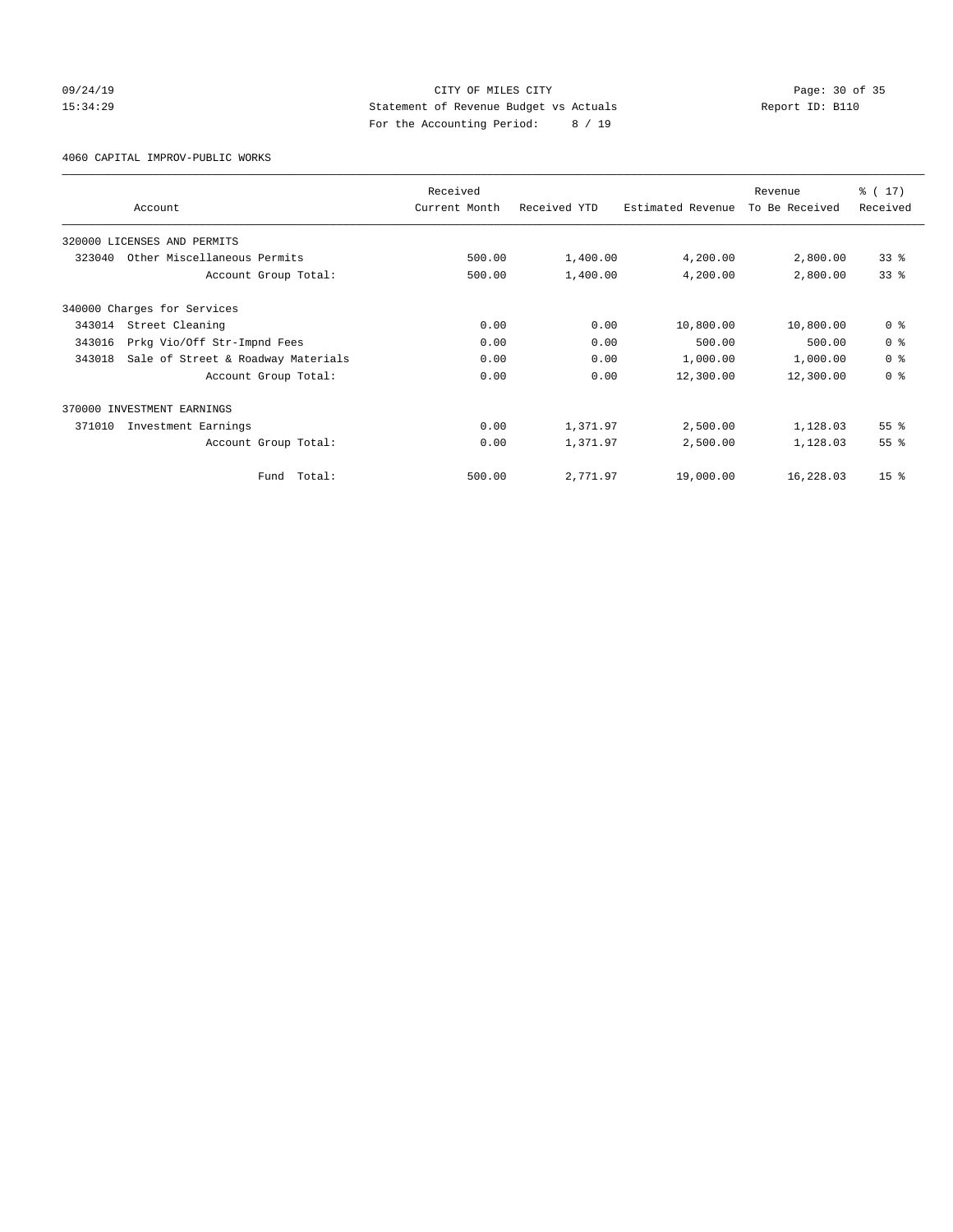# 09/24/19 Page: 30 of 35 15:34:29 Statement of Revenue Budget vs Actuals Report ID: B110 For the Accounting Period: 8 / 19

4060 CAPITAL IMPROV-PUBLIC WORKS

|        |                                    | Received      |              |                   | Revenue        | $\frac{1}{6}$ (17) |
|--------|------------------------------------|---------------|--------------|-------------------|----------------|--------------------|
|        | Account                            | Current Month | Received YTD | Estimated Revenue | To Be Received | Received           |
|        | 320000 LICENSES AND PERMITS        |               |              |                   |                |                    |
| 323040 | Other Miscellaneous Permits        | 500.00        | 1,400.00     | 4,200.00          | 2,800.00       | 33 <sup>8</sup>    |
|        | Account Group Total:               | 500.00        | 1,400.00     | 4,200.00          | 2,800.00       | 33%                |
|        | 340000 Charges for Services        |               |              |                   |                |                    |
| 343014 | Street Cleaning                    | 0.00          | 0.00         | 10,800.00         | 10,800.00      | 0 <sup>8</sup>     |
| 343016 | Prkg Vio/Off Str-Impnd Fees        | 0.00          | 0.00         | 500.00            | 500.00         | 0 <sup>8</sup>     |
| 343018 | Sale of Street & Roadway Materials | 0.00          | 0.00         | 1,000.00          | 1,000.00       | 0 <sup>8</sup>     |
|        | Account Group Total:               | 0.00          | 0.00         | 12,300.00         | 12,300.00      | 0 <sup>8</sup>     |
|        | 370000 INVESTMENT EARNINGS         |               |              |                   |                |                    |
| 371010 | Investment Earnings                | 0.00          | 1,371.97     | 2,500.00          | 1,128.03       | 55 <sup>8</sup>    |
|        | Account Group Total:               | 0.00          | 1,371.97     | 2,500.00          | 1,128.03       | 55 <sup>8</sup>    |
|        | Total:<br>Fund                     | 500.00        | 2,771.97     | 19,000.00         | 16,228.03      | 15 <sup>8</sup>    |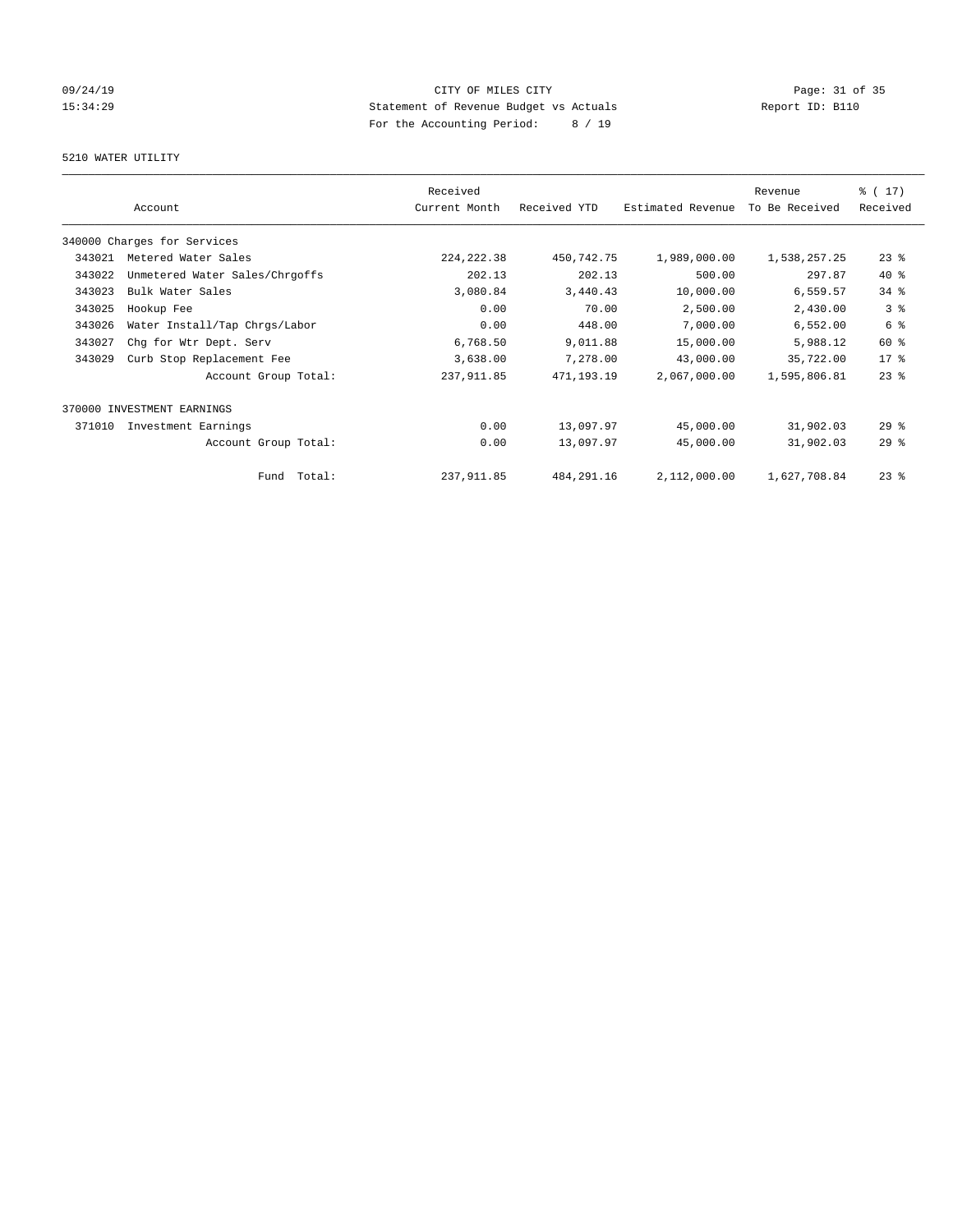# 09/24/19 Page: 31 of 35 15:34:29 Statement of Revenue Budget vs Actuals Report ID: B110 For the Accounting Period: 8 / 19

# 5210 WATER UTILITY

|        |                                | Received      |              |                   | Revenue        | $\frac{1}{2}$ (17) |
|--------|--------------------------------|---------------|--------------|-------------------|----------------|--------------------|
|        | Account                        | Current Month | Received YTD | Estimated Revenue | To Be Received | Received           |
|        | 340000 Charges for Services    |               |              |                   |                |                    |
| 343021 | Metered Water Sales            | 224, 222.38   | 450,742.75   | 1,989,000.00      | 1,538,257.25   | $23$ $%$           |
| 343022 | Unmetered Water Sales/Chrgoffs | 202.13        | 202.13       | 500.00            | 297.87         | $40*$              |
| 343023 | Bulk Water Sales               | 3,080.84      | 3,440.43     | 10,000.00         | 6,559.57       | $34$ $%$           |
| 343025 | Hookup Fee                     | 0.00          | 70.00        | 2,500.00          | 2,430.00       | 3%                 |
| 343026 | Water Install/Tap Chrgs/Labor  | 0.00          | 448.00       | 7,000.00          | 6,552.00       | 6 %                |
| 343027 | Chg for Wtr Dept. Serv         | 6,768.50      | 9,011.88     | 15,000.00         | 5,988.12       | 60 %               |
| 343029 | Curb Stop Replacement Fee      | 3,638.00      | 7,278.00     | 43,000.00         | 35,722.00      | $17*$              |
|        | Account Group Total:           | 237, 911.85   | 471,193.19   | 2,067,000.00      | 1,595,806.81   | $23$ $%$           |
| 370000 | INVESTMENT EARNINGS            |               |              |                   |                |                    |
| 371010 | Investment Earnings            | 0.00          | 13,097.97    | 45,000.00         | 31,902.03      | $29$ $%$           |
|        | Account Group Total:           | 0.00          | 13,097.97    | 45,000.00         | 31,902.03      | 29%                |
|        | Total:<br>Fund                 | 237, 911.85   | 484, 291.16  | 2,112,000.00      | 1,627,708.84   | $23$ $%$           |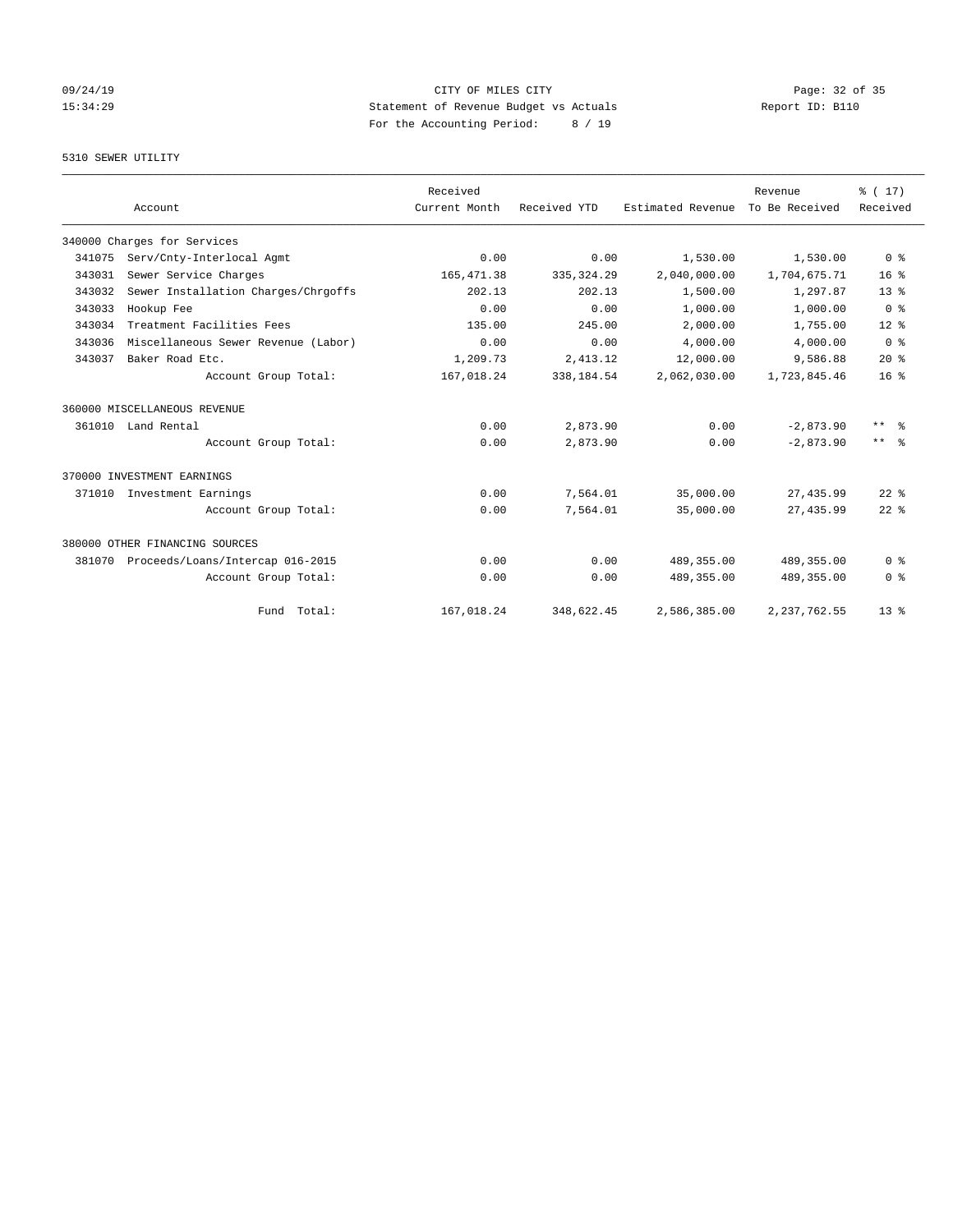# 09/24/19 Page: 32 of 35 15:34:29 Statement of Revenue Budget vs Actuals Report ID: B110 For the Accounting Period: 8 / 19

# 5310 SEWER UTILITY

|        |                                     | Received      |              |                   | Revenue        | $\frac{1}{6}$ (17) |
|--------|-------------------------------------|---------------|--------------|-------------------|----------------|--------------------|
|        | Account                             | Current Month | Received YTD | Estimated Revenue | To Be Received | Received           |
|        | 340000 Charges for Services         |               |              |                   |                |                    |
| 341075 | Serv/Cnty-Interlocal Agmt           | 0.00          | 0.00         | 1,530.00          | 1,530.00       | 0 <sup>8</sup>     |
| 343031 | Sewer Service Charges               | 165, 471.38   | 335, 324.29  | 2,040,000.00      | 1,704,675.71   | $16*$              |
| 343032 | Sewer Installation Charges/Chrgoffs | 202.13        | 202.13       | 1,500.00          | 1,297.87       | 13 <sup>8</sup>    |
| 343033 | Hookup Fee                          | 0.00          | 0.00         | 1,000.00          | 1,000.00       | 0 <sup>8</sup>     |
| 343034 | Treatment Facilities Fees           | 135.00        | 245.00       | 2,000.00          | 1,755.00       | $12*$              |
| 343036 | Miscellaneous Sewer Revenue (Labor) | 0.00          | 0.00         | 4,000.00          | 4,000.00       | 0 <sup>8</sup>     |
| 343037 | Baker Road Etc.                     | 1,209.73      | 2,413.12     | 12,000.00         | 9,586.88       | $20*$              |
|        | Account Group Total:                | 167,018.24    | 338,184.54   | 2,062,030.00      | 1,723,845.46   | 16 <sup>8</sup>    |
|        | 360000 MISCELLANEOUS REVENUE        |               |              |                   |                |                    |
|        | 361010 Land Rental                  | 0.00          | 2,873.90     | 0.00              | $-2,873.90$    | $***$ $=$          |
|        | Account Group Total:                | 0.00          | 2,873.90     | 0.00              | $-2,873.90$    | $***$ $ -$         |
|        | 370000 INVESTMENT EARNINGS          |               |              |                   |                |                    |
| 371010 | Investment Earnings                 | 0.00          | 7,564.01     | 35,000.00         | 27, 435.99     | $22$ $%$           |
|        | Account Group Total:                | 0.00          | 7,564.01     | 35,000.00         | 27, 435.99     | $22$ $%$           |
|        | 380000 OTHER FINANCING SOURCES      |               |              |                   |                |                    |
| 381070 | Proceeds/Loans/Intercap 016-2015    | 0.00          | 0.00         | 489, 355.00       | 489,355.00     | 0 <sup>8</sup>     |
|        | Account Group Total:                | 0.00          | 0.00         | 489, 355.00       | 489,355.00     | 0 <sup>8</sup>     |
|        | Fund Total:                         | 167,018.24    | 348,622.45   | 2,586,385.00      | 2, 237, 762.55 | 13 <sup>8</sup>    |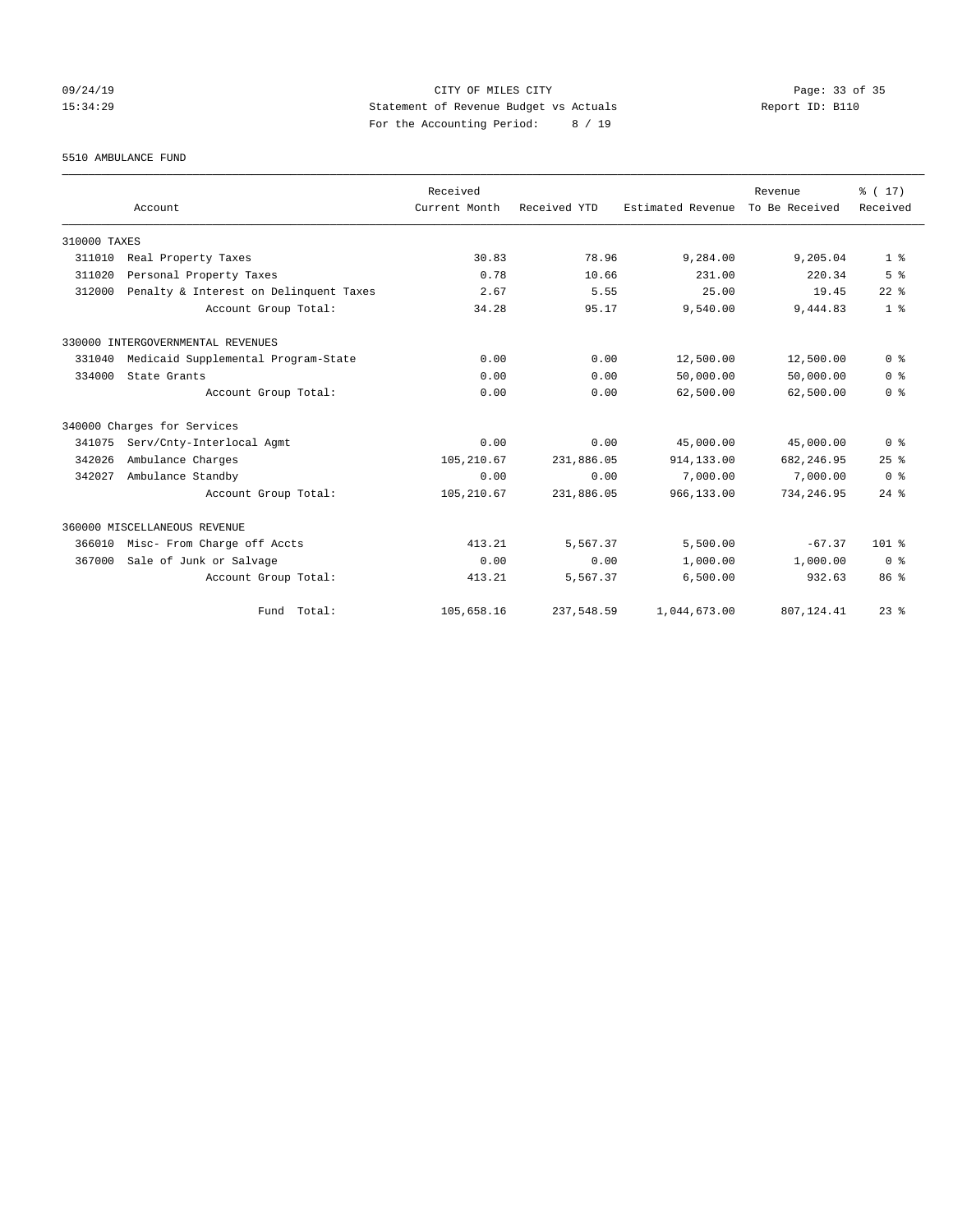09/24/19 Page: 33 of 35 15:34:29 Statement of Revenue Budget vs Actuals Report ID: B110 For the Accounting Period: 8 / 19

### 5510 AMBULANCE FUND

|              |                                        | Received      |              |                   | Revenue        | $\frac{1}{6}$ (17) |
|--------------|----------------------------------------|---------------|--------------|-------------------|----------------|--------------------|
|              | Account                                | Current Month | Received YTD | Estimated Revenue | To Be Received | Received           |
| 310000 TAXES |                                        |               |              |                   |                |                    |
| 311010       | Real Property Taxes                    | 30.83         | 78.96        | 9,284.00          | 9,205.04       | 1 <sup>8</sup>     |
| 311020       | Personal Property Taxes                | 0.78          | 10.66        | 231.00            | 220.34         | 5 <sup>8</sup>     |
| 312000       | Penalty & Interest on Delinquent Taxes | 2.67          | 5.55         | 25.00             | 19.45          | $22$ %             |
|              | Account Group Total:                   | 34.28         | 95.17        | 9,540.00          | 9,444.83       | 1 <sup>8</sup>     |
|              | 330000 INTERGOVERNMENTAL REVENUES      |               |              |                   |                |                    |
| 331040       | Medicaid Supplemental Program-State    | 0.00          | 0.00         | 12,500.00         | 12,500.00      | 0 <sup>8</sup>     |
| 334000       | State Grants                           | 0.00          | 0.00         | 50,000.00         | 50,000.00      | 0 <sup>8</sup>     |
|              | Account Group Total:                   | 0.00          | 0.00         | 62,500.00         | 62,500.00      | 0 <sup>8</sup>     |
|              | 340000 Charges for Services            |               |              |                   |                |                    |
| 341075       | Serv/Cnty-Interlocal Agmt              | 0.00          | 0.00         | 45,000.00         | 45,000.00      | 0 <sup>8</sup>     |
| 342026       | Ambulance Charges                      | 105,210.67    | 231,886.05   | 914,133.00        | 682, 246.95    | 25%                |
| 342027       | Ambulance Standby                      | 0.00          | 0.00         | 7,000.00          | 7,000.00       | 0 <sup>8</sup>     |
|              | Account Group Total:                   | 105,210.67    | 231,886.05   | 966,133.00        | 734,246.95     | $24$ %             |
|              | 360000 MISCELLANEOUS REVENUE           |               |              |                   |                |                    |
| 366010       | Misc- From Charge off Accts            | 413.21        | 5,567.37     | 5,500.00          | $-67.37$       | $101$ %            |
| 367000       | Sale of Junk or Salvage                | 0.00          | 0.00         | 1,000.00          | 1,000.00       | 0 <sup>8</sup>     |
|              | Account Group Total:                   | 413.21        | 5,567.37     | 6,500.00          | 932.63         | 86 %               |
|              | Fund Total:                            | 105,658.16    | 237,548.59   | 1,044,673.00      | 807, 124.41    | $23*$              |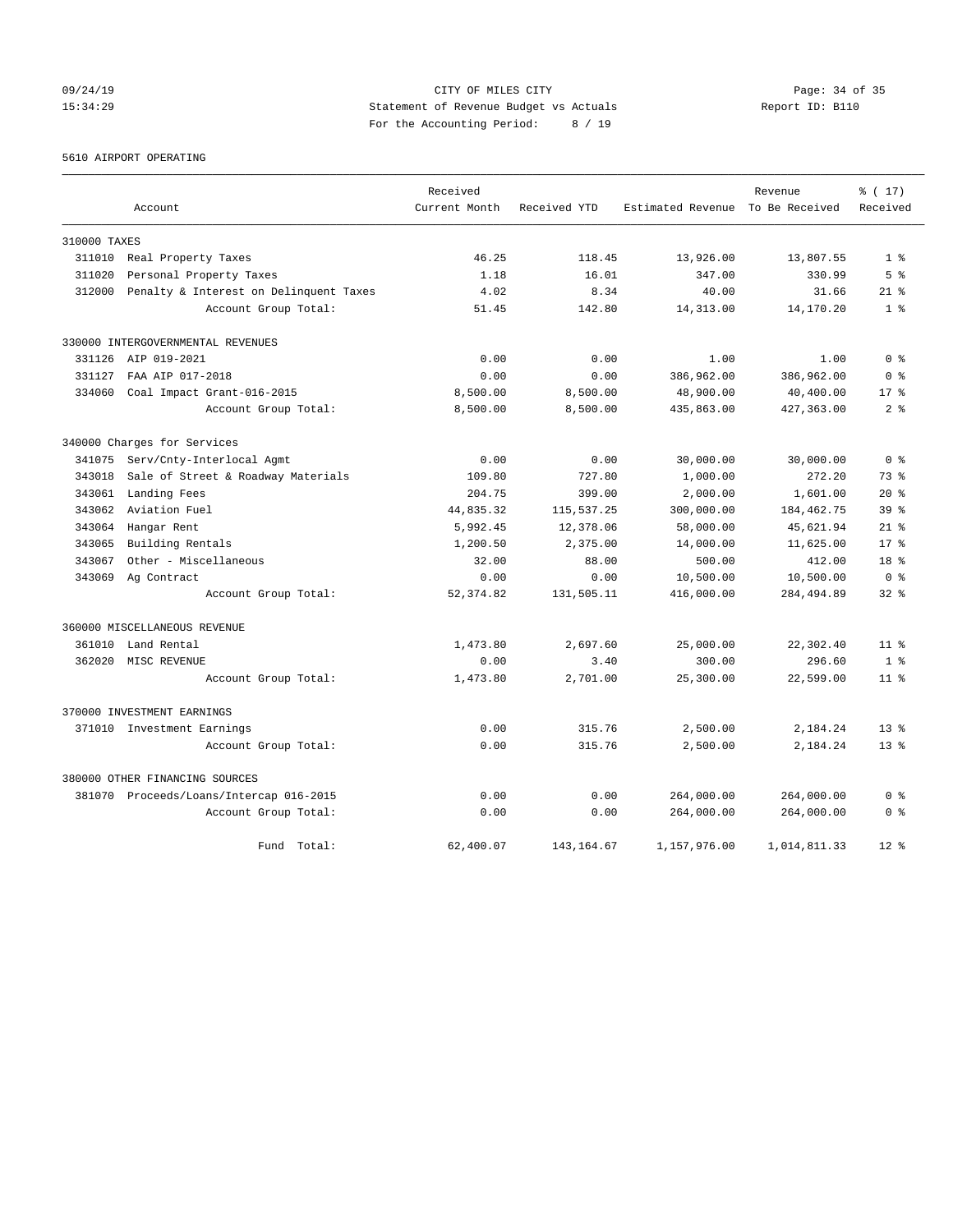09/24/19 Page: 34 of 35 15:34:29 Statement of Revenue Budget vs Actuals Report ID: B110 For the Accounting Period: 8 / 19

### 5610 AIRPORT OPERATING

|              |                                         | Received      |              |                                  | Revenue      | % (17)          |
|--------------|-----------------------------------------|---------------|--------------|----------------------------------|--------------|-----------------|
|              | Account                                 | Current Month | Received YTD | Estimated Revenue To Be Received |              | Received        |
| 310000 TAXES |                                         |               |              |                                  |              |                 |
| 311010       | Real Property Taxes                     | 46.25         | 118.45       | 13,926.00                        | 13,807.55    | 1 <sup>8</sup>  |
| 311020       | Personal Property Taxes                 | 1.18          | 16.01        | 347.00                           | 330.99       | 5 <sup>8</sup>  |
| 312000       | Penalty & Interest on Delinquent Taxes  | 4.02          | 8.34         | 40.00                            | 31.66        | $21$ $%$        |
|              | Account Group Total:                    | 51.45         | 142.80       | 14,313.00                        | 14,170.20    | 1 <sup>8</sup>  |
|              | 330000 INTERGOVERNMENTAL REVENUES       |               |              |                                  |              |                 |
|              | 331126 AIP 019-2021                     | 0.00          | 0.00         | 1.00                             | 1.00         | 0 <sup>8</sup>  |
| 331127       | FAA AIP 017-2018                        | 0.00          | 0.00         | 386,962.00                       | 386,962.00   | 0 <sup>8</sup>  |
| 334060       | Coal Impact Grant-016-2015              | 8,500.00      | 8,500.00     | 48,900.00                        | 40,400.00    | $17*$           |
|              | Account Group Total:                    | 8,500.00      | 8,500.00     | 435,863.00                       | 427, 363.00  | 2 <sup>8</sup>  |
|              | 340000 Charges for Services             |               |              |                                  |              |                 |
| 341075       | Serv/Cnty-Interlocal Agmt               | 0.00          | 0.00         | 30,000.00                        | 30,000.00    | 0 <sup>8</sup>  |
| 343018       | Sale of Street & Roadway Materials      | 109.80        | 727.80       | 1,000.00                         | 272.20       | 73.8            |
| 343061       | Landing Fees                            | 204.75        | 399.00       | 2,000.00                         | 1,601.00     | $20*$           |
| 343062       | Aviation Fuel                           | 44,835.32     | 115,537.25   | 300,000.00                       | 184, 462. 75 | 39 <sup>8</sup> |
| 343064       | Hangar Rent                             | 5,992.45      | 12,378.06    | 58,000.00                        | 45,621.94    | $21*$           |
| 343065       | Building Rentals                        | 1,200.50      | 2,375.00     | 14,000.00                        | 11,625.00    | $17*$           |
| 343067       | Other - Miscellaneous                   | 32.00         | 88.00        | 500.00                           | 412.00       | 18 %            |
| 343069       | Ag Contract                             | 0.00          | 0.00         | 10,500.00                        | 10,500.00    | 0 <sup>8</sup>  |
|              | Account Group Total:                    | 52, 374.82    | 131,505.11   | 416,000.00                       | 284, 494.89  | $32*$           |
|              | 360000 MISCELLANEOUS REVENUE            |               |              |                                  |              |                 |
| 361010       | Land Rental                             | 1,473.80      | 2,697.60     | 25,000.00                        | 22,302.40    | 11 <sup>8</sup> |
| 362020       | MISC REVENUE                            | 0.00          | 3.40         | 300.00                           | 296.60       | 1 <sup>8</sup>  |
|              | Account Group Total:                    | 1,473.80      | 2,701.00     | 25,300.00                        | 22,599.00    | $11$ %          |
|              | 370000 INVESTMENT EARNINGS              |               |              |                                  |              |                 |
|              | 371010 Investment Earnings              | 0.00          | 315.76       | 2,500.00                         | 2,184.24     | $13*$           |
|              | Account Group Total:                    | 0.00          | 315.76       | 2,500.00                         | 2,184.24     | $13*$           |
|              | 380000 OTHER FINANCING SOURCES          |               |              |                                  |              |                 |
|              | 381070 Proceeds/Loans/Intercap 016-2015 | 0.00          | 0.00         | 264,000.00                       | 264,000.00   | 0 <sup>8</sup>  |
|              | Account Group Total:                    | 0.00          | 0.00         | 264,000.00                       | 264,000.00   | 0 <sup>8</sup>  |
|              | Fund<br>Total:                          | 62,400.07     | 143, 164.67  | 1,157,976.00                     | 1,014,811.33 | $12*$           |